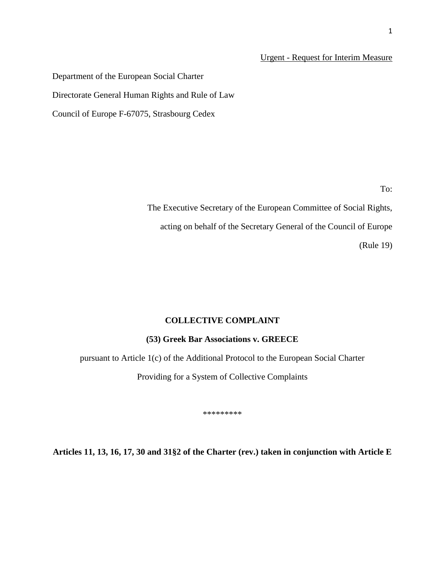## Urgent - Request for Interim Measure

Department of the European Social Charter Directorate General Human Rights and Rule of Law

Council of Europe F-67075, Strasbourg Cedex

To:

The Executive Secretary of the European Committee of Social Rights, acting on behalf of the Secretary General of the Council of Europe (Rule 19)

## **COLLECTIVE COMPLAINT**

## **(53) Greek Bar Associations v. GREECE**

pursuant to Article 1(c) of the Additional Protocol to the European Social Charter

Providing for a System of Collective Complaints

\*\*\*\*\*\*\*\*\*

**Articles 11, 13, 16, 17, 30 and 31§2 of the Charter (rev.) taken in conjunction with Article E**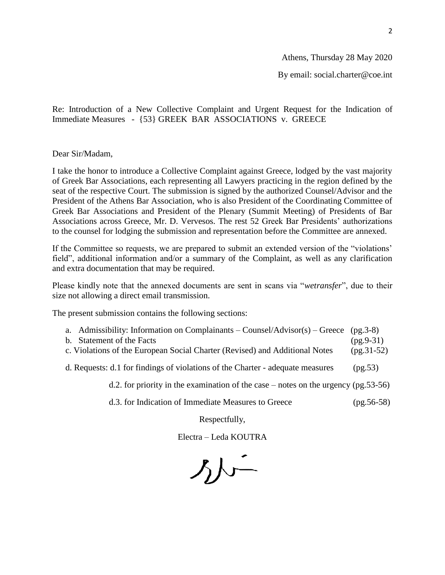Athens, Thursday 28 May 2020

By email: social.charter@coe.int

Re: Introduction of a New Collective Complaint and Urgent Request for the Indication of Immediate Measures - {53} GREEK BAR ASSOCIATIONS v. GREECE

Dear Sir/Madam,

I take the honor to introduce a Collective Complaint against Greece, lodged by the vast majority of Greek Bar Associations, each representing all Lawyers practicing in the region defined by the seat of the respective Court. The submission is signed by the authorized Counsel/Advisor and the President of the Athens Bar Association, who is also President of the Coordinating Committee of Greek Bar Associations and President of the Plenary (Summit Meeting) of Presidents of Bar Associations across Greece, Mr. D. Vervesos. The rest 52 Greek Bar Presidents' authorizations to the counsel for lodging the submission and representation before the Committee are annexed.

If the Committee so requests, we are prepared to submit an extended version of the "violations' field", additional information and/or a summary of the Complaint, as well as any clarification and extra documentation that may be required.

Please kindly note that the annexed documents are sent in scans via "*wetransfer*", due to their size not allowing a direct email transmission.

The present submission contains the following sections:

|                                                                             | a. Admissibility: Information on Complainants – Counsel/Advisor(s) – Greece (pg. 3-8) |             |
|-----------------------------------------------------------------------------|---------------------------------------------------------------------------------------|-------------|
|                                                                             | b. Statement of the Facts                                                             | $(pg.9-31)$ |
| c. Violations of the European Social Charter (Revised) and Additional Notes |                                                                                       |             |
|                                                                             |                                                                                       |             |

d. Requests: d.1 for findings of violations of the Charter - adequate measures (pg.53)

d.2. for priority in the examination of the case – notes on the urgency (pg.53-56)

d.3. for Indication of Immediate Measures to Greece (pg.56-58)

Respectfully,

Electra – Leda KOUTRA

外一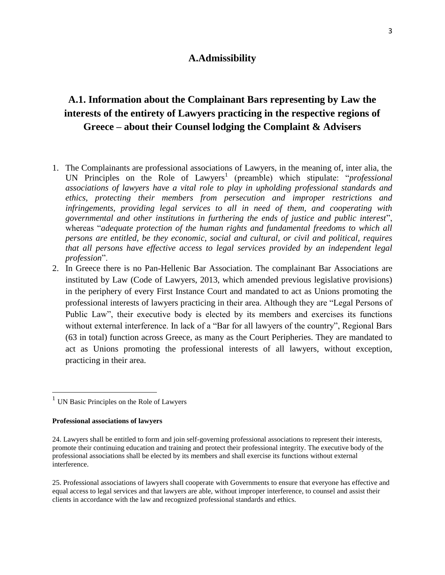## **A.Admissibility**

# **A.1. Information about the Complainant Bars representing by Law the interests of the entirety of Lawyers practicing in the respective regions of Greece – about their Counsel lodging the Complaint & Advisers**

- 1. The Complainants are professional associations of Lawyers, in the meaning of, inter alia, the UN Principles on the Role of Lawyers<sup>1</sup> (preamble) which stipulate: "*professional associations of lawyers have a vital role to play in upholding professional standards and ethics, protecting their members from persecution and improper restrictions and infringements, providing legal services to all in need of them, and cooperating with governmental and other institutions in furthering the ends of justice and public interest*", whereas "*adequate protection of the human rights and fundamental freedoms to which all persons are entitled, be they economic, social and cultural, or civil and political, requires that all persons have effective access to legal services provided by an independent legal profession*".
- 2. In Greece there is no Pan-Hellenic Bar Association. The complainant Bar Associations are instituted by Law (Code of Lawyers, 2013, which amended previous legislative provisions) in the periphery of every First Instance Court and mandated to act as Unions promoting the professional interests of lawyers practicing in their area. Although they are "Legal Persons of Public Law", their executive body is elected by its members and exercises its functions without external interference. In lack of a "Bar for all lawyers of the country", Regional Bars (63 in total) function across Greece, as many as the Court Peripheries. They are mandated to act as Unions promoting the professional interests of all lawyers, without exception, practicing in their area.

#### **Professional associations of lawyers**

 $\overline{a}$ 

<sup>&</sup>lt;sup>1</sup> UN Basic Principles on the Role of Lawyers

<sup>24.</sup> Lawyers shall be entitled to form and join self-governing professional associations to represent their interests, promote their continuing education and training and protect their professional integrity. The executive body of the professional associations shall be elected by its members and shall exercise its functions without external interference.

<sup>25.</sup> Professional associations of lawyers shall cooperate with Governments to ensure that everyone has effective and equal access to legal services and that lawyers are able, without improper interference, to counsel and assist their clients in accordance with the law and recognized professional standards and ethics.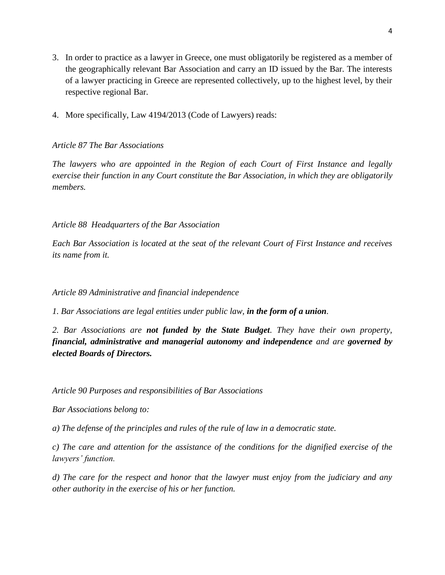- 3. In order to practice as a lawyer in Greece, one must obligatorily be registered as a member of the geographically relevant Bar Association and carry an ID issued by the Bar. The interests of a lawyer practicing in Greece are represented collectively, up to the highest level, by their respective regional Bar.
- 4. More specifically, Law 4194/2013 (Code of Lawyers) reads:

# *Article 87 The Bar Associations*

*The lawyers who are appointed in the Region of each Court of First Instance and legally exercise their function in any Court constitute the Bar Association, in which they are obligatorily members.* 

*Article 88 Headquarters of the Bar Association* 

*Each Bar Association is located at the seat of the relevant Court of First Instance and receives its name from it.* 

*Article 89 Administrative and financial independence* 

*1. Bar Associations are legal entities under public law, in the form of a union.* 

*2. Bar Associations are not funded by the State Budget. They have their own property, financial, administrative and managerial autonomy and independence and are governed by elected Boards of Directors.* 

*Article 90 Purposes and responsibilities of Bar Associations* 

*Bar Associations belong to:* 

*a) The defense of the principles and rules of the rule of law in a democratic state.* 

*c) The care and attention for the assistance of the conditions for the dignified exercise of the lawyers' function.* 

*d) The care for the respect and honor that the lawyer must enjoy from the judiciary and any other authority in the exercise of his or her function.*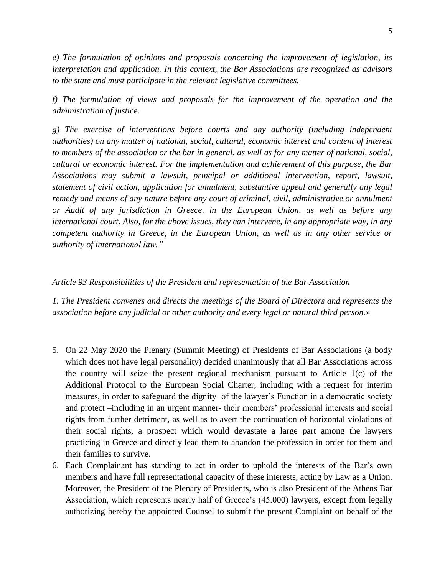*e) The formulation of opinions and proposals concerning the improvement of legislation, its interpretation and application. In this context, the Bar Associations are recognized as advisors to the state and must participate in the relevant legislative committees.* 

*f) The formulation of views and proposals for the improvement of the operation and the administration of justice.* 

*g) The exercise of interventions before courts and any authority (including independent authorities) on any matter of national, social, cultural, economic interest and content of interest to members of the association or the bar in general, as well as for any matter of national, social, cultural or economic interest. For the implementation and achievement of this purpose, the Bar Associations may submit a lawsuit, principal or additional intervention, report, lawsuit, statement of civil action, application for annulment, substantive appeal and generally any legal remedy and means of any nature before any court of criminal, civil, administrative or annulment or Audit of any jurisdiction in Greece, in the European Union, as well as before any international court. Also, for the above issues, they can intervene, in any appropriate way, in any competent authority in Greece, in the European Union, as well as in any other service or authority of international law."*

#### *Article 93 Responsibilities of the President and representation of the Bar Association*

*1. The President convenes and directs the meetings of the Board of Directors and represents the association before any judicial or other authority and every legal or natural third person.»*

- 5. On 22 May 2020 the Plenary (Summit Meeting) of Presidents of Bar Associations (a body which does not have legal personality) decided unanimously that all Bar Associations across the country will seize the present regional mechanism pursuant to Article 1(c) of the Additional Protocol to the European Social Charter, including with a request for interim measures, in order to safeguard the dignity of the lawyer's Function in a democratic society and protect –including in an urgent manner- their members' professional interests and social rights from further detriment, as well as to avert the continuation of horizontal violations of their social rights, a prospect which would devastate a large part among the lawyers practicing in Greece and directly lead them to abandon the profession in order for them and their families to survive.
- 6. Each Complainant has standing to act in order to uphold the interests of the Bar's own members and have full representational capacity of these interests, acting by Law as a Union. Moreover, the President of the Plenary of Presidents, who is also President of the Athens Bar Association, which represents nearly half of Greece's (45.000) lawyers, except from legally authorizing hereby the appointed Counsel to submit the present Complaint on behalf of the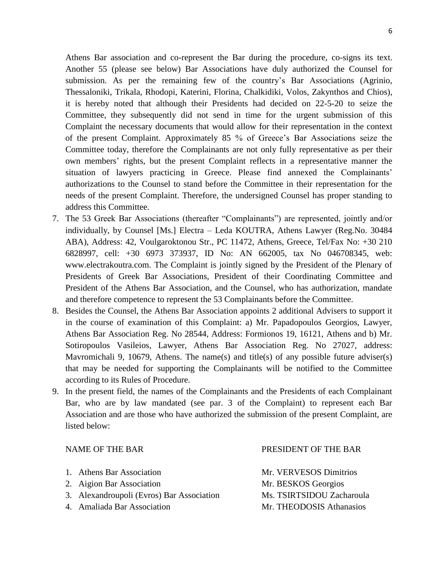Athens Bar association and co-represent the Bar during the procedure, co-signs its text. Another 55 (please see below) Bar Associations have duly authorized the Counsel for submission. As per the remaining few of the country's Bar Associations (Agrinio, Thessaloniki, Trikala, Rhodopi, Katerini, Florina, Chalkidiki, Volos, Zakynthos and Chios), it is hereby noted that although their Presidents had decided on 22-5-20 to seize the Committee, they subsequently did not send in time for the urgent submission of this Complaint the necessary documents that would allow for their representation in the context of the present Complaint. Approximately 85 % of Greece's Bar Associations seize the Committee today, therefore the Complainants are not only fully representative as per their own members' rights, but the present Complaint reflects in a representative manner the situation of lawyers practicing in Greece. Please find annexed the Complainants' authorizations to the Counsel to stand before the Committee in their representation for the needs of the present Complaint. Therefore, the undersigned Counsel has proper standing to address this Committee.

- 7. The 53 Greek Bar Associations (thereafter "Complainants") are represented, jointly and/or individually, by Counsel [Ms.] Electra – Leda KOUTRA, Athens Lawyer (Reg.No. 30484 ABA), Address: 42, Voulgaroktonou Str., PC 11472, Athens, Greece, Tel/Fax No: +30 210 6828997, cell: +30 6973 373937, ID No: AN 662005, tax No 046708345, web: www.electrakoutra.com. The Complaint is jointly signed by the President of the Plenary of Presidents of Greek Bar Associations, President of their Coordinating Committee and President of the Athens Bar Association, and the Counsel, who has authorization, mandate and therefore competence to represent the 53 Complainants before the Committee.
- 8. Besides the Counsel, the Athens Bar Association appoints 2 additional Advisers to support it in the course of examination of this Complaint: a) Mr. Papadopoulos Georgios, Lawyer, Athens Bar Association Reg. No 28544, Address: Formionos 19, 16121, Athens and b) Mr. Sotiropoulos Vasileios, Lawyer, Athens Bar Association Reg. No 27027, address: Mavromichali 9, 10679, Athens. The name(s) and title(s) of any possible future adviser(s) that may be needed for supporting the Complainants will be notified to the Committee according to its Rules of Procedure.
- 9. Ιn the present field, the names of the Complainants and the Presidents of each Complainant Bar, who are by law mandated (see par. 3 of the Complaint) to represent each Bar Association and are those who have authorized the submission of the present Complaint, are listed below:

| <b>NAME OF THE BAR</b>                    | PRESIDENT OF THE BAR      |
|-------------------------------------------|---------------------------|
| 1. Athens Bar Association                 | Mr. VERVESOS Dimitrios    |
| 2. Aigion Bar Association                 | Mr. BESKOS Georgios       |
| 3. Alexandroupoli (Evros) Bar Association | Ms. TSIRTSIDOU Zacharoula |
| 4. Amaliada Bar Association               | Mr. THEODOSIS Athanasios  |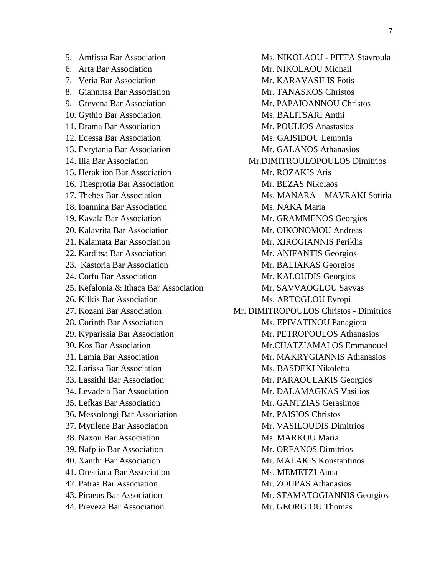- 
- 
- 
- 
- 
- 
- 
- 
- 
- 
- 
- 
- 
- 18. Ioannina Bar Association Ms. NAKA Maria
- 
- 
- 
- 
- 
- 
- 
- 
- 
- 
- 
- 
- 
- 
- 
- 
- 
- 
- 
- 
- 
- 
- 
- 
- 
- 44. Preveza Bar Association Mr. GEORGIOU Thomas

5. Amfissa Bar Association Ms. NIKOLAOU - PITTA Stavroula 6. Arta Bar Association **Mr. NIKOLAOU Michail** 7. Veria Bar Association **Mr. KARAVASILIS** Fotis 8. Giannitsa Bar Association Mr. TANASKOS Christos 9. Grevena Bar Association **Mr. PAPAIOANNOU Christos** 10. Gythio Bar Association Ms. BALITSARI Anthi 11. Drama Bar Association Mr. POULIOS Anastasios 12. Edessa Bar Association Ms. GAISIDOU Lemonia 13. Evrytania Bar Association **Mr. GALANOS** Athanasios 14. Ilia Bar Association Mr.DIMITROULOPOULOS Dimitrios 15. Heraklion Bar Association Mr. ROZAKIS Aris 16. Thesprotia Bar Association Mr. BEZAS Nikolaos 17. Thebes Bar Association Ms. MANARA – MAVRAKI Sotiria 19. Kavala Bar Association Mr. GRAMMENOS Georgios 20. Kalavrita Bar Association and Mr. OIKONOMOU Andreas 21. Kalamata Bar Association Mr. XIROGIANNIS Periklis 22. Karditsa Bar Association Mr. ANIFANTIS Georgios 23. Kastoria Bar Association Mr. BALIAKAS Georgios 24. Corfu Bar Association Mr. KALOUDIS Georgios 25. Kefalonia & Ithaca Bar Association Mr. SAVVAOGLOU Savvas 26. Kilkis Bar Association Ms. ARTOGLOU Evropi 27. Kozani Bar Association Mr. DIMITROPOULOS Christos - Dimitrios 28. Corinth Bar Association Ms. EPIVATINOU Panagiota 29. Kyparissia Bar Association Mr. PETROPOULOS Athanasios 30. Kos Bar Association Mr.CHATZIAMALOS Emmanouel 31. Lamia Bar Association Mr. MAKRYGIANNIS Athanasios 32. Larissa Bar Association Ms. BASDEKI Nikoletta 33. Lassithi Bar Association Mr. PARAOULAKIS Georgios 34. Levadeia Bar Association Mr. DALAMAGKAS Vasilios 35. Lefkas Bar Association Mr. GANTZIAS Gerasimos 36. Messolongi Bar Association Mr. PAISIOS Christos 37. Mytilene Bar Association Mr. VASILOUDIS Dimitrios 38. Naxou Bar Association Ms. MARKOU Maria 39. Nafplio Bar Association Mr. ORFANOS Dimitrios 40. Xanthi Bar Association Mr. MALAKIS Konstantinos 41. Orestiada Bar Association Ms. MEMETZI Anna 42. Patras Bar Association Mr. ZOUPAS Athanasios 43. Piraeus Bar Association Mr. STAMATOGIANNIS Georgios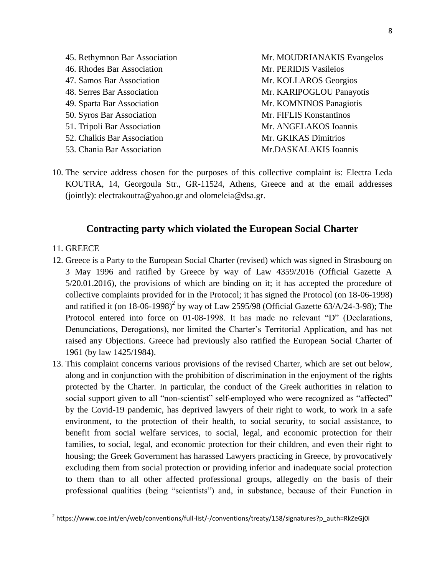- 45. Rethymnon Bar Association Mr. MOUDRIANAKIS Evangelos 46. Rhodes Bar Association Mr. PERIDIS Vasileios 47. Samos Bar Association Mr. KOLLAROS Georgios 48. Serres Bar Association Mr. KARIPOGLOU Panayotis 49. Sparta Bar Association Mr. KOMNINOS Panagiotis 50. Syros Bar Association Mr. FIFLIS Konstantinos 51. Tripoli Bar Association Mr. ANGELAKOS Ioannis 52. Chalkis Bar Association **Mr. GKIKAS Dimitrios** Mr. GKIKAS Dimitrios 53. Chania Bar Association Mr.DASKALAKIS Ioannis
- 10. The service address chosen for the purposes of this collective complaint is: Electra Leda KOUTRA, 14, Georgoula Str., GR-11524, Athens, Greece and at the email addresses (jointly): [electrakoutra@yahoo.gr](mailto:electrakoutra@yahoo.gr) and olomeleia@dsa.gr.

# **Contracting party which violated the European Social Charter**

## 11. GREECE

 $\overline{\phantom{a}}$ 

- 12. Greece is a Party to the European Social Charter (revised) which was signed in Strasbourg on 3 May 1996 and ratified by Greece by way of Law 4359/2016 (Official Gazette A 5/20.01.2016), the provisions of which are binding on it; it has accepted the procedure of collective complaints provided for in the Protocol; it has signed the Protocol (on 18-06-1998) and ratified it (on 18-06-1998)<sup>2</sup> by way of Law 2595/98 (Official Gazette 63/A/24-3-98); The Protocol entered into force on 01-08-1998. It has made no relevant "D" (Declarations, Denunciations, Derogations), nor limited the Charter's Territorial Application, and has not raised any Objections. Greece had previously also ratified the European Social Charter of 1961 (by law 1425/1984).
- 13. This complaint concerns various provisions of the revised Charter, which are set out below, along and in conjunction with the prohibition of discrimination in the enjoyment of the rights protected by the Charter. In particular, the conduct of the Greek authorities in relation to social support given to all "non-scientist" self-employed who were recognized as "affected" by the Covid-19 pandemic, has deprived lawyers of their right to work, to work in a safe environment, to the protection of their health, to social security, to social assistance, to benefit from social welfare services, to social, legal, and economic protection for their families, to social, legal, and economic protection for their children, and even their right to housing; the Greek Government has harassed Lawyers practicing in Greece, by provocatively excluding them from social protection or providing inferior and inadequate social protection to them than to all other affected professional groups, allegedly on the basis of their professional qualities (being "scientists") and, in substance, because of their Function in

<sup>2</sup> https://www.coe.int/en/web/conventions/full-list/-/conventions/treaty/158/signatures?p\_auth=RkZeGj0i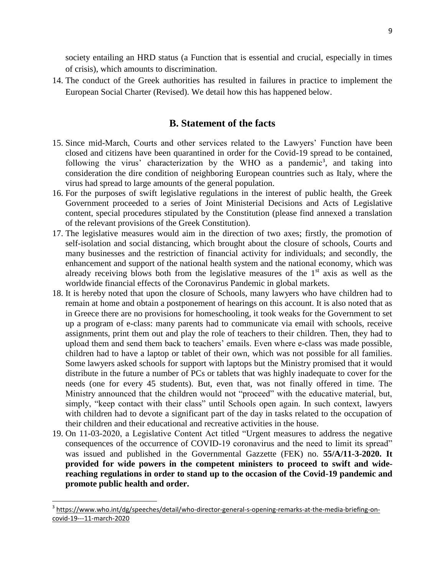society entailing an HRD status (a Function that is essential and crucial, especially in times of crisis), which amounts to discrimination.

14. The conduct of the Greek authorities has resulted in failures in practice to implement the European Social Charter (Revised). We detail how this has happened below.

# **B. Statement of the facts**

- 15. Since mid-March, Courts and other services related to the Lawyers' Function have been closed and citizens have been quarantined in order for the Covid-19 spread to be contained, following the virus' characterization by the WHO as a pandemic<sup>3</sup>, and taking into consideration the dire condition of neighboring European countries such as Italy, where the virus had spread to large amounts of the general population.
- 16. For the purposes of swift legislative regulations in the interest of public health, the Greek Government proceeded to a series of Joint Ministerial Decisions and Acts of Legislative content, special procedures stipulated by the Constitution (please find annexed a translation of the relevant provisions of the Greek Constitution).
- 17. The legislative measures would aim in the direction of two axes; firstly, the promotion of self-isolation and social distancing, which brought about the closure of schools, Courts and many businesses and the restriction of financial activity for individuals; and secondly, the enhancement and support of the national health system and the national economy, which was already receiving blows both from the legislative measures of the  $1<sup>st</sup>$  axis as well as the worldwide financial effects of the Coronavirus Pandemic in global markets.
- 18. It is hereby noted that upon the closure of Schools, many lawyers who have children had to remain at home and obtain a postponement of hearings on this account. It is also noted that as in Greece there are no provisions for homeschooling, it took weaks for the Government to set up a program of e-class: many parents had to communicate via email with schools, receive assignments, print them out and play the role of teachers to their children. Then, they had to upload them and send them back to teachers' emails. Even where e-class was made possible, children had to have a laptop or tablet of their own, which was not possible for all families. Some lawyers asked schools for support with laptops but the Ministry promised that it would distribute in the future a number of PCs or tablets that was highly inadequate to cover for the needs (one for every 45 students). But, even that, was not finally offered in time. The Ministry announced that the children would not "proceed" with the educative material, but, simply, "keep contact with their class" until Schools open again. In such context, lawyers with children had to devote a significant part of the day in tasks related to the occupation of their children and their educational and recreative activities in the house.
- 19. On 11-03-2020, a Legislative Content Act titled "Urgent measures to address the negative consequences of the occurrence of COVID-19 coronavirus and the need to limit its spread" was issued and published in the Governmental Gazzette (FEK) no. **55/A/11-3-2020. It provided for wide powers in the competent ministers to proceed to swift and widereaching regulations in order to stand up to the occasion of the Covid-19 pandemic and promote public health and order.**

l

<sup>&</sup>lt;sup>3</sup> [https://www.who.int/dg/speeches/detail/who-director-general-s-opening-remarks-at-the-media-briefing-on](https://www.who.int/dg/speeches/detail/who-director-general-s-opening-remarks-at-the-media-briefing-on-covid-19---11-march-2020)[covid-19---11-march-2020](https://www.who.int/dg/speeches/detail/who-director-general-s-opening-remarks-at-the-media-briefing-on-covid-19---11-march-2020)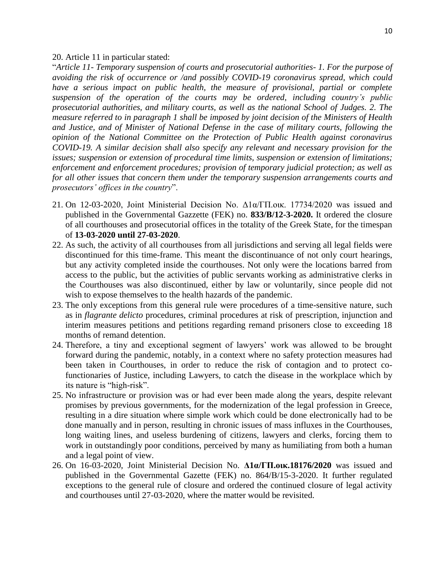#### 20. Article 11 in particular stated:

"*Article 11- Temporary suspension of courts and prosecutorial authorities- 1. For the purpose of avoiding the risk of occurrence or /and possibly COVID-19 coronavirus spread, which could have a serious impact on public health, the measure of provisional, partial or complete suspension of the operation of the courts may be ordered, including country's public prosecutorial authorities, and military courts, as well as the national School of Judges. 2. The measure referred to in paragraph 1 shall be imposed by joint decision of the Ministers of Health and Justice, and of Minister of National Defense in the case of military courts, following the opinion of the National Committee on the Protection of Public Health against coronavirus COVID-19. A similar decision shall also specify any relevant and necessary provision for the issues; suspension or extension of procedural time limits, suspension or extension of limitations; enforcement and enforcement procedures; provision of temporary judicial protection; as well as for all other issues that concern them under the temporary suspension arrangements courts and prosecutors' offices in the country*".

- 21. On 12-03-2020, Joint Ministerial Decision No.  $\Delta 1\alpha/\Gamma\Pi$ .oux. 17734/2020 was issued and published in the Governmental Gazzette (FEK) no. **833/Β/12-3-2020.** It ordered the closure of all courthouses and prosecutorial offices in the totality of the Greek State, for the timespan of **13-03-2020 until 27-03-2020**.
- 22. As such, the activity of all courthouses from all jurisdictions and serving all legal fields were discontinued for this time-frame. This meant the discontinuance of not only court hearings, but any activity completed inside the courthouses. Not only were the locations barred from access to the public, but the activities of public servants working as administrative clerks in the Courthouses was also discontinued, either by law or voluntarily, since people did not wish to expose themselves to the health hazards of the pandemic.
- 23. The only exceptions from this general rule were procedures of a time-sensitive nature, such as in *flagrante delicto* procedures, criminal procedures at risk of prescription, injunction and interim measures petitions and petitions regarding remand prisoners close to exceeding 18 months of remand detention.
- 24. Therefore, a tiny and exceptional segment of lawyers' work was allowed to be brought forward during the pandemic, notably, in a context where no safety protection measures had been taken in Courthouses, in order to reduce the risk of contagion and to protect cofunctionaries of Justice, including Lawyers, to catch the disease in the workplace which by its nature is "high-risk".
- 25. No infrastructure or provision was or had ever been made along the years, despite relevant promises by previous governments, for the modernization of the legal profession in Greece, resulting in a dire situation where simple work which could be done electronically had to be done manually and in person, resulting in chronic issues of mass influxes in the Courthouses, long waiting lines, and useless burdening of citizens, lawyers and clerks, forcing them to work in outstandingly poor conditions, perceived by many as humiliating from both a human and a legal point of view.
- 26. On 16-03-2020, Joint Ministerial Decision No. **Δ1α/ΓΠ.οικ.18176/2020** was issued and published in the Governmental Gazette (FEK) no. 864/Β/15-3-2020. It further regulated exceptions to the general rule of closure and ordered the continued closure of legal activity and courthouses until 27-03-2020, where the matter would be revisited.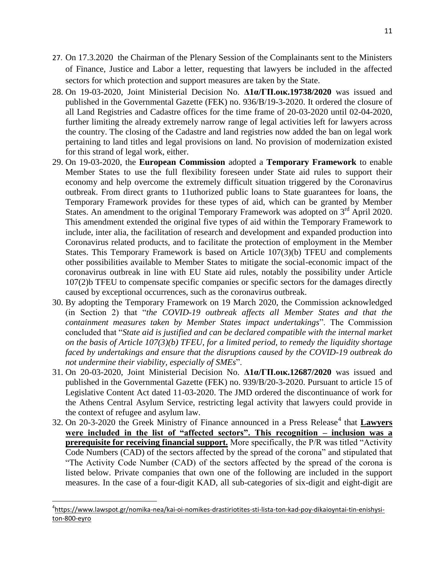- 27. On 17.3.2020 the Chairman of the Plenary Session of the Complainants sent to the Ministers of Finance, Justice and Labor a letter, requesting that lawyers be included in the affected sectors for which protection and support measures are taken by the State.
- 28. On 19-03-2020, Joint Ministerial Decision No. **Δ1α/ΓΠ.οικ.19738/2020** was issued and published in the Governmental Gazette (FEK) no. 936/Β/19-3-2020. It ordered the closure of all Land Registries and Cadastre offices for the time frame of 20-03-2020 until 02-04-2020, further limiting the already extremely narrow range of legal activities left for lawyers across the country. The closing of the Cadastre and land registries now added the ban on legal work pertaining to land titles and legal provisions on land. No provision of modernization existed for this strand of legal work, either.
- 29. On 19-03-2020, the **European Commission** adopted a **Temporary Framework** to enable Member States to use the full flexibility foreseen under State aid rules to support their economy and help overcome the extremely difficult situation triggered by the Coronavirus outbreak. From direct grants to 11uthorized public loans to State guarantees for loans, the Temporary Framework provides for these types of aid, which can be granted by Member States. An amendment to the original Temporary Framework was adopted on 3<sup>rd</sup> April 2020. This amendment extended the original five types of aid within the Temporary Framework to include, inter alia, the facilitation of research and development and expanded production into Coronavirus related products, and to facilitate the protection of employment in the Member States. This Temporary Framework is based on Article 107(3)(b) TFEU and complements other possibilities available to Member States to mitigate the social-economic impact of the coronavirus outbreak in line with EU State aid rules, notably the possibility under Article 107(2)b TFEU to compensate specific companies or specific sectors for the damages directly caused by exceptional occurrences, such as the coronavirus outbreak.
- 30. By adopting the Temporary Framework on 19 March 2020, the Commission acknowledged (in Section 2) that "*the COVID-19 outbreak affects all Member States and that the containment measures taken by Member States impact undertakings*". The Commission concluded that "*State aid is justified and can be declared compatible with the internal market on the basis of Article 107(3)(b) TFEU, for a limited period, to remedy the liquidity shortage faced by undertakings and ensure that the disruptions caused by the COVID-19 outbreak do not undermine their viability, especially of SMEs*".
- 31. On 20-03-2020, Joint Ministerial Decision No. **Δ1α/ΓΠ.οικ.12687/2020** was issued and published in the Governmental Gazette (FEK) no. 939/Β/20-3-2020. Pursuant to article 15 of Legislative Content Act dated 11-03-2020. The JMD ordered the discontinuance of work for the Athens Central Asylum Service, restricting legal activity that lawyers could provide in the context of refugee and asylum law.
- 32. On 20-3-2020 the Greek Ministry of Finance announced in a Press Release<sup>4</sup> that **Lawyers were included in the list of "affected sectors". This recognition – inclusion was a prerequisite for receiving financial support.** More specifically, the P/R was titled "Activity Code Numbers (CAD) of the sectors affected by the spread of the corona" and stipulated that "The Activity Code Number (CAD) of the sectors affected by the spread of the corona is listed below. Private companies that own one of the following are included in the support measures. In the case of a four-digit KAD, all sub-categories of six-digit and eight-digit are

l

<sup>4</sup> [https://www.lawspot.gr/nomika-nea/kai-oi-nomikes-drastiriotites-sti-lista-ton-kad-poy-dikaioyntai-tin-enishysi](https://www.lawspot.gr/nomika-nea/kai-oi-nomikes-drastiriotites-sti-lista-ton-kad-poy-dikaioyntai-tin-enishysi-ton-800-eyro)[ton-800-eyro](https://www.lawspot.gr/nomika-nea/kai-oi-nomikes-drastiriotites-sti-lista-ton-kad-poy-dikaioyntai-tin-enishysi-ton-800-eyro)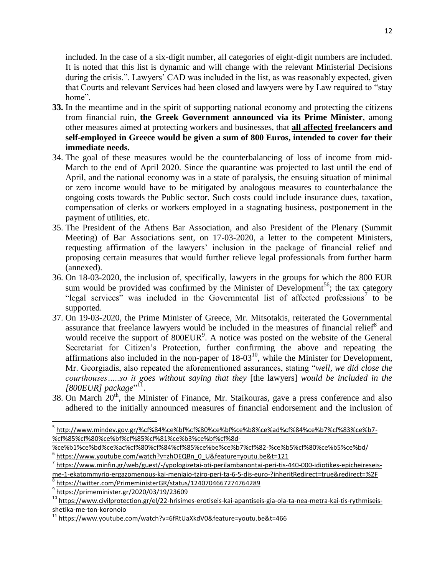included. In the case of a six-digit number, all categories of eight-digit numbers are included. It is noted that this list is dynamic and will change with the relevant Ministerial Decisions during the crisis.". Lawyers' CAD was included in the list, as was reasonably expected, given that Courts and relevant Services had been closed and lawyers were by Law required to "stay home".

- **33.** In the meantime and in the spirit of supporting national economy and protecting the citizens from financial ruin, **the Greek Government announced via its Prime Minister**, among other measures aimed at protecting workers and businesses, that **all affected freelancers and self-employed in Greece would be given a sum of 800 Euros, intended to cover for their immediate needs.**
- 34. The goal of these measures would be the counterbalancing of loss of income from mid-March to the end of April 2020. Since the quarantine was projected to last until the end of April, and the national economy was in a state of paralysis, the ensuing situation of minimal or zero income would have to be mitigated by analogous measures to counterbalance the ongoing costs towards the Public sector. Such costs could include insurance dues, taxation, compensation of clerks or workers employed in a stagnating business, postponement in the payment of utilities, etc.
- 35. The President of the Athens Bar Association, and also President of the Plenary (Summit Meeting) of Bar Associations sent, on 17-03-2020, a letter to the competent Ministers, requesting affirmation of the lawyers' inclusion in the package of financial relief and proposing certain measures that would further relieve legal professionals from further harm (annexed).
- 36. On 18-03-2020, the inclusion of, specifically, lawyers in the groups for which the 800 EUR sum would be provided was confirmed by the Minister of Development<sup>56</sup>; the tax category "legal services" was included in the Governmental list of affected professions<sup>7</sup> to be supported.
- 37. On 19-03-2020, the Prime Minister of Greece, Mr. Mitsotakis, reiterated the Governmental assurance that freelance lawyers would be included in the measures of financial relief<sup>8</sup> and would receive the support of  $800EUR<sup>9</sup>$ . A notice was posted on the website of the General Secretariat for Citizen's Protection, further confirming the above and repeating the affirmations also included in the non-paper of  $18-03<sup>10</sup>$ , while the Minister for Development, Mr. Georgiadis, also repeated the aforementioned assurances, stating "*well, we did close the courthouses…..so it goes without saying that they* [the lawyers] *would be included in the*  [800EUR] package"<sup>11</sup>.
- 38. On March  $20<sup>th</sup>$ , the Minister of Finance, Mr. Staikouras, gave a press conference and also adhered to the initially announced measures of financial endorsement and the inclusion of

 $\overline{a}$ 

<sup>&</sup>lt;sup>5</sup> [http://www.mindev.gov.gr/%cf%84%ce%bf%cf%80%ce%bf%ce%b8%ce%ad%cf%84%ce%b7%cf%83%ce%b7-](http://www.mindev.gov.gr/%cf%84%ce%bf%cf%80%ce%bf%ce%b8%ce%ad%cf%84%ce%b7%cf%83%ce%b7-%cf%85%cf%80%ce%bf%cf%85%cf%81%ce%b3%ce%bf%cf%8d-%ce%b1%ce%bd%ce%ac%cf%80%cf%84%cf%85%ce%be%ce%b7%cf%82-%ce%b5%cf%80%ce%b5%ce%bd/) [%cf%85%cf%80%ce%bf%cf%85%cf%81%ce%b3%ce%bf%cf%8d-](http://www.mindev.gov.gr/%cf%84%ce%bf%cf%80%ce%bf%ce%b8%ce%ad%cf%84%ce%b7%cf%83%ce%b7-%cf%85%cf%80%ce%bf%cf%85%cf%81%ce%b3%ce%bf%cf%8d-%ce%b1%ce%bd%ce%ac%cf%80%cf%84%cf%85%ce%be%ce%b7%cf%82-%ce%b5%cf%80%ce%b5%ce%bd/)

[<sup>%</sup>ce%b1%ce%bd%ce%ac%cf%80%cf%84%cf%85%ce%be%ce%b7%cf%82-%ce%b5%cf%80%ce%b5%ce%bd/](http://www.mindev.gov.gr/%cf%84%ce%bf%cf%80%ce%bf%ce%b8%ce%ad%cf%84%ce%b7%cf%83%ce%b7-%cf%85%cf%80%ce%bf%cf%85%cf%81%ce%b3%ce%bf%cf%8d-%ce%b1%ce%bd%ce%ac%cf%80%cf%84%cf%85%ce%be%ce%b7%cf%82-%ce%b5%cf%80%ce%b5%ce%bd/) 6 [https://www.youtube.com/watch?v=zhOEQBn\\_0\\_U&feature=youtu.be&t=121](https://www.youtube.com/watch?v=zhOEQBn_0_U&feature=youtu.be&t=121)

<sup>&</sup>lt;sup>7</sup> [https://www.minfin.gr/web/guest/-/ypologizetai-oti-perilambanontai-peri-tis-440-000-idiotikes-epicheireseis](https://www.minfin.gr/web/guest/-/ypologizetai-oti-perilambanontai-peri-tis-440-000-idiotikes-epicheireseis-me-1-ekatommyrio-ergazomenous-kai-meniaio-tziro-peri-ta-6-5-dis-euro-?inheritRedirect=true&redirect=%2F)[me-1-ekatommyrio-ergazomenous-kai-meniaio-tziro-peri-ta-6-5-dis-euro-?inheritRedirect=true&redirect=%2F](https://www.minfin.gr/web/guest/-/ypologizetai-oti-perilambanontai-peri-tis-440-000-idiotikes-epicheireseis-me-1-ekatommyrio-ergazomenous-kai-meniaio-tziro-peri-ta-6-5-dis-euro-?inheritRedirect=true&redirect=%2F)

<sup>8</sup> <https://twitter.com/PrimeministerGR/status/1240704667274764289>

<sup>9</sup> <https://primeminister.gr/2020/03/19/23609>

<sup>&</sup>lt;sup>10</sup> [https://www.civilprotection.gr/el/22-hrisimes-erotiseis-kai-apantiseis-gia-ola-ta-nea-metra-kai-tis-rythmiseis](https://www.civilprotection.gr/el/22-hrisimes-erotiseis-kai-apantiseis-gia-ola-ta-nea-metra-kai-tis-rythmiseis-shetika-me-ton-koronoio)[shetika-me-ton-koronoio](https://www.civilprotection.gr/el/22-hrisimes-erotiseis-kai-apantiseis-gia-ola-ta-nea-metra-kai-tis-rythmiseis-shetika-me-ton-koronoio)

<sup>&</sup>lt;sup>11</sup> <https://www.youtube.com/watch?v=6fRtUaXkdV0&feature=youtu.be&t=466>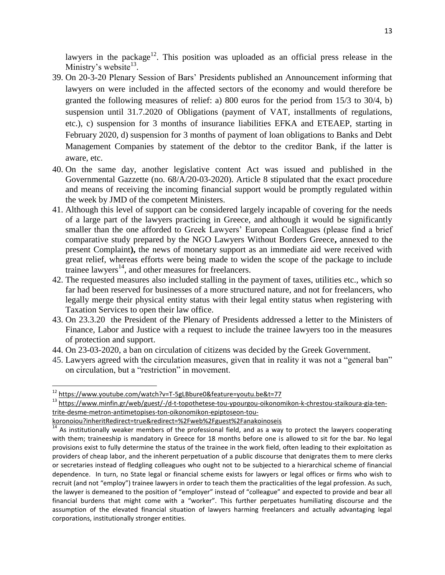lawyers in the package<sup>12</sup>. This position was uploaded as an official press release in the Ministry's website $^{13}$ .

- 39. On 20-3-20 Plenary Session of Bars' Presidents published an Announcement informing that lawyers on were included in the affected sectors of the economy and would therefore be granted the following measures of relief: a) 800 euros for the period from 15/3 to 30/4, b) suspension until 31.7.2020 of Obligations (payment of VAT, installments of regulations, etc.), c) suspension for 3 months of insurance liabilities EFKA and ETEAEP, starting in February 2020, d) suspension for 3 months of payment of loan obligations to Banks and Debt Management Companies by statement of the debtor to the creditor Bank, if the latter is aware, etc.
- 40. On the same day, another legislative content Act was issued and published in the Governmental Gazzette (no. 68/A/20-03-2020). Article 8 stipulated that the exact procedure and means of receiving the incoming financial support would be promptly regulated within the week by JMD of the competent Ministers.
- 41. Although this level of support can be considered largely incapable of covering for the needs of a large part of the lawyers practicing in Greece, and although it would be significantly smaller than the one afforded to Greek Lawyers' European Colleagues (please find a brief comparative study prepared by the NGO Lawyers Without Borders Greece**,** annexed to the present Complaint**),** the news of monetary support as an immediate aid were received with great relief, whereas efforts were being made to widen the scope of the package to include trainee lawyers<sup>14</sup>, and other measures for freelancers.
- 42. The requested measures also included stalling in the payment of taxes, utilities etc., which so far had been reserved for businesses of a more structured nature, and not for freelancers, who legally merge their physical entity status with their legal entity status when registering with Taxation Services to open their law office.
- 43. On 23.3.20 the President of the Plenary of Presidents addressed a letter to the Ministers of Finance, Labor and Justice with a request to include the trainee lawyers too in the measures of protection and support.
- 44. On 23-03-2020, a ban on circulation of citizens was decided by the Greek Government.
- 45. Lawyers agreed with the circulation measures, given that in reality it was not a "general ban" on circulation, but a "restriction" in movement.

 $\overline{\phantom{a}}$ 

<sup>&</sup>lt;sup>12</sup> <https://www.youtube.com/watch?v=T-5gLBbure0&feature=youtu.be&t=77>

<sup>13</sup> [https://www.minfin.gr/web/guest/-/d-t-topothetese-tou-ypourgou-oikonomikon-k-chrestou-staikoura-gia-ten](https://www.minfin.gr/web/guest/-/d-t-topothetese-tou-ypourgou-oikonomikon-k-chrestou-staikoura-gia-ten-trite-desme-metron-antimetopises-ton-oikonomikon-epiptoseon-tou-koronoiou?inheritRedirect=true&redirect=%2Fweb%2Fguest%2Fanakoinoseis)[trite-desme-metron-antimetopises-ton-oikonomikon-epiptoseon-tou-](https://www.minfin.gr/web/guest/-/d-t-topothetese-tou-ypourgou-oikonomikon-k-chrestou-staikoura-gia-ten-trite-desme-metron-antimetopises-ton-oikonomikon-epiptoseon-tou-koronoiou?inheritRedirect=true&redirect=%2Fweb%2Fguest%2Fanakoinoseis)

[koronoiou?inheritRedirect=true&redirect=%2Fweb%2Fguest%2Fanakoinoseis](https://www.minfin.gr/web/guest/-/d-t-topothetese-tou-ypourgou-oikonomikon-k-chrestou-staikoura-gia-ten-trite-desme-metron-antimetopises-ton-oikonomikon-epiptoseon-tou-koronoiou?inheritRedirect=true&redirect=%2Fweb%2Fguest%2Fanakoinoseis)

 $\frac{14}{14}$  As institutionally weaker members of the professional field, and as a way to protect the lawyers cooperating with them; traineeship is mandatory in Greece for 18 months before one is allowed to sit for the bar. No legal provisions exist to fully determine the status of the trainee in the work field, often leading to their exploitation as providers of cheap labor, and the inherent perpetuation of a public discourse that denigrates them to mere clerks or secretaries instead of fledgling colleagues who ought not to be subjected to a hierarchical scheme of financial dependence. In turn, no State legal or financial scheme exists for lawyers or legal offices or firms who wish to recruit (and not "employ") trainee lawyers in order to teach them the practicalities of the legal profession. As such, the lawyer is demeaned to the position of "employer" instead of "colleague" and expected to provide and bear all financial burdens that might come with a "worker". This further perpetuates humiliating discourse and the assumption of the elevated financial situation of lawyers harming freelancers and actually advantaging legal corporations, institutionally stronger entities.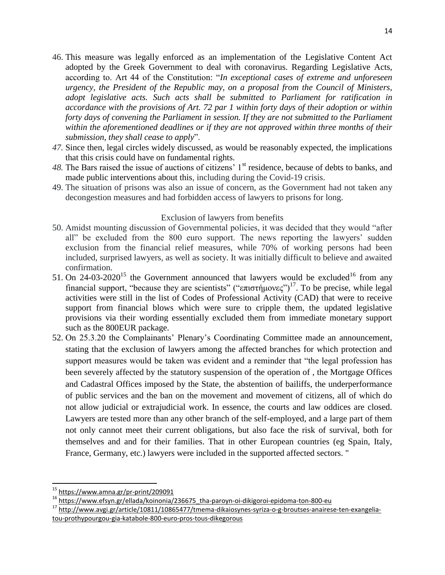- 46. This measure was legally enforced as an implementation of the Legislative Content Act adopted by the Greek Government to deal with coronavirus. Regarding Legislative Acts, according to. Art 44 of the Constitution: "*In exceptional cases of extreme and unforeseen urgency, the President of the Republic may, on a proposal from the Council of Ministers, adopt legislative acts. Such acts shall be submitted to Parliament for ratification in accordance with the provisions of Art. 72 par 1 within forty days of their adoption or within forty days of convening the Parliament in session. If they are not submitted to the Parliament within the aforementioned deadlines or if they are not approved within three months of their submission, they shall cease to apply*".
- *47.* Since then, legal circles widely discussed, as would be reasonably expected, the implications that this crisis could have on fundamental rights.
- 48. The Bars raised the issue of auctions of citizens' 1<sup>st</sup> residence, because of debts to banks, and made public interventions about this, including during the Covid-19 crisis.
- 49. The situation of prisons was also an issue of concern, as the Government had not taken any decongestion measures and had forbidden access of lawyers to prisons for long.

## Exclusion of lawyers from benefits

- 50. Amidst mounting discussion of Governmental policies, it was decided that they would "after all" be excluded from the 800 euro support. The news reporting the lawyers' sudden exclusion from the financial relief measures, while 70% of working persons had been included, surprised lawyers, as well as society. It was initially difficult to believe and awaited confirmation.
- 51. On 24-03-2020<sup>15</sup> the Government announced that lawyers would be excluded<sup>16</sup> from any financial support, "because they are scientists" ("επιστήμονες")<sup>17</sup>. To be precise, while legal activities were still in the list of Codes of Professional Activity (CAD) that were to receive support from financial blows which were sure to cripple them, the updated legislative provisions via their wording essentially excluded them from immediate monetary support such as the 800EUR package.
- 52. On 25.3.20 the Complainants' Plenary's Coordinating Committee made an announcement, stating that the exclusion of lawyers among the affected branches for which protection and support measures would be taken was evident and a reminder that "the legal profession has been severely affected by the statutory suspension of the operation of , the Mortgage Offices and Cadastral Offices imposed by the State, the abstention of bailiffs, the underperformance of public services and the ban on the movement and movement of citizens, all of which do not allow judicial or extrajudicial work. In essence, the courts and law oddices are closed. Lawyers are tested more than any other branch of the self-employed, and a large part of them not only cannot meet their current obligations, but also face the risk of survival, both for themselves and and for their families. That in other European countries (eg Spain, Italy, France, Germany, etc.) lawyers were included in the supported affected sectors. "

 $\overline{a}$ 

<sup>17</sup> [http://www.avgi.gr/article/10811/10865477/tmema-dikaiosynes-syriza-o-g-broutses-anairese-ten-exangelia](http://www.avgi.gr/article/10811/10865477/tmema-dikaiosynes-syriza-o-g-broutses-anairese-ten-exangelia-tou-prothypourgou-gia-katabole-800-euro-pros-tous-dikegorous)[tou-prothypourgou-gia-katabole-800-euro-pros-tous-dikegorous](http://www.avgi.gr/article/10811/10865477/tmema-dikaiosynes-syriza-o-g-broutses-anairese-ten-exangelia-tou-prothypourgou-gia-katabole-800-euro-pros-tous-dikegorous)

<sup>&</sup>lt;sup>15</sup> <https://www.amna.gr/pr-print/209091>

<sup>16</sup> [https://www.efsyn.gr/ellada/koinonia/236675\\_tha-paroyn-oi-dikigoroi-epidoma-ton-800-eu](https://www.efsyn.gr/ellada/koinonia/236675_tha-paroyn-oi-dikigoroi-epidoma-ton-800-eu)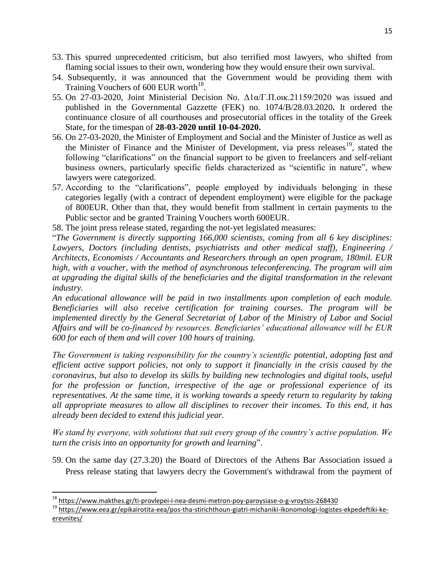- 53. This spurred unprecedented criticism, but also terrified most lawyers, who shifted from flaming social issues to their own, wondering how they would ensure their own survival.
- 54. Subsequently, it was announced that the Government would be providing them with Training Vouchers of 600 EUR worth $^{18}$ .
- 55. On 27-03-2020, Joint Ministerial Decision No. Δ1α/Γ.Π.οικ.21159/2020 was issued and published in the Governmental Gazzette (FEK) no. 1074/B/28.03.2020**.** It ordered the continuance closure of all courthouses and prosecutorial offices in the totality of the Greek State, for the timespan of **28-03-2020 until 10-04-2020.**
- 56. On 27-03-2020, the Minister of Employment and Social and the Minister of Justice as well as the Minister of Finance and the Minister of Development, via press releases<sup>19</sup>, stated the following "clarifications" on the financial support to be given to freelancers and self-reliant business owners, particularly specific fields characterized as "scientific in nature", whew lawyers were categorized.
- 57. According to the "clarifications", people employed by individuals belonging in these categories legally (with a contract of dependent employment) were eligible for the package of 800EUR. Other than that, they would benefit from stallment in certain payments to the Public sector and be granted Training Vouchers worth 600EUR.
- 58. The joint press release stated, regarding the not-yet legislated measures:

"*The Government is directly supporting 166,000 scientists, coming from all 6 key disciplines: Lawyers, Doctors (including dentists, psychiatrists and other medical staff), Engineering / Architects, Economists / Accountants and Researchers through an open program, 180mil. EUR high, with a voucher, with the method of asynchronous teleconferencing. The program will aim at upgrading the digital skills of the beneficiaries and the digital transformation in the relevant industry.* 

*An educational allowance will be paid in two installments upon completion of each module. Beneficiaries will also receive certification for training courses. The program will be implemented directly by the General Secretariat of Labor of the Ministry of Labor and Social Affairs and will be co-financed by resources. Beneficiaries' educational allowance will be EUR 600 for each of them and will cover 100 hours of training.* 

*The Government is taking responsibility for the country's scientific potential, adopting fast and efficient active support policies, not only to support it financially in the crisis caused by the coronavirus, but also to develop its skills by building new technologies and digital tools, useful for the profession or function, irrespective of the age or professional experience of its representatives. At the same time, it is working towards a speedy return to regularity by taking all appropriate measures to allow all disciplines to recover their incomes. To this end, it has already been decided to extend this judicial year.* 

*We stand by everyone, with solutions that suit every group of the country's active population. We turn the crisis into an opportunity for growth and learning*".

59. On the same day (27.3.20) the Board of Directors of the Athens Bar Association issued a Press release stating that lawyers decry the Government's withdrawal from the payment of

 $\overline{\phantom{a}}$ 

<sup>&</sup>lt;sup>18</sup> <https://www.makthes.gr/ti-provlepei-i-nea-desmi-metron-poy-paroysiase-o-g-vroytsis-268430>

<sup>19</sup> [https://www.eea.gr/epikairotita-eea/pos-tha-stirichthoun-giatri-michaniki-ikonomologi-logistes-ekpedeftiki-ke](https://www.eea.gr/epikairotita-eea/pos-tha-stirichthoun-giatri-michaniki-ikonomologi-logistes-ekpedeftiki-ke-erevnites/)[erevnites/](https://www.eea.gr/epikairotita-eea/pos-tha-stirichthoun-giatri-michaniki-ikonomologi-logistes-ekpedeftiki-ke-erevnites/)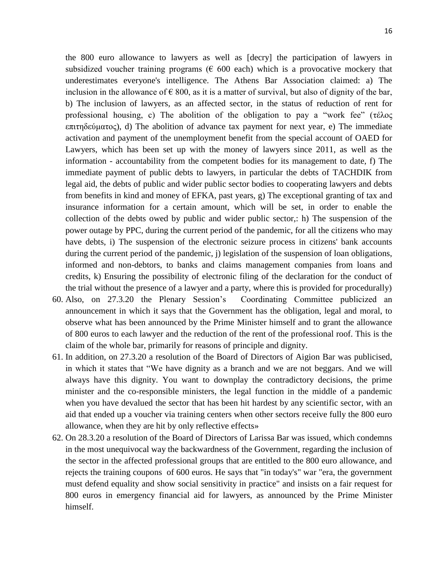the 800 euro allowance to lawyers as well as [decry] the participation of lawyers in subsidized voucher training programs ( $\epsilon$  600 each) which is a provocative mockery that underestimates everyone's intelligence. The Athens Bar Association claimed: a) The inclusion in the allowance of  $\epsilon$  800, as it is a matter of survival, but also of dignity of the bar, b) The inclusion of lawyers, as an affected sector, in the status of reduction of rent for professional housing, c) The abolition of the obligation to pay a "work fee" (τέλος επιτηδεύματος), d) The abolition of advance tax payment for next year, e) The immediate activation and payment of the unemployment benefit from the special account of OAED for Lawyers, which has been set up with the money of lawyers since 2011, as well as the information - accountability from the competent bodies for its management to date, f) The immediate payment of public debts to lawyers, in particular the debts of TACHDIK from legal aid, the debts of public and wider public sector bodies to cooperating lawyers and debts from benefits in kind and money of EFKA, past years, g) The exceptional granting of tax and insurance information for a certain amount, which will be set, in order to enable the collection of the debts owed by public and wider public sector,: h) The suspension of the power outage by PPC, during the current period of the pandemic, for all the citizens who may have debts, i) The suspension of the electronic seizure process in citizens' bank accounts during the current period of the pandemic, j) legislation of the suspension of loan obligations, informed and non-debtors, to banks and claims management companies from loans and credits, k) Ensuring the possibility of electronic filing of the declaration for the conduct of the trial without the presence of a lawyer and a party, where this is provided for procedurally)

- 60. Also, on 27.3.20 the Plenary Session's Coordinating Committee publicized an announcement in which it says that the Government has the obligation, legal and moral, to observe what has been announced by the Prime Minister himself and to grant the allowance of 800 euros to each lawyer and the reduction of the rent of the professional roof. This is the claim of the whole bar, primarily for reasons of principle and dignity.
- 61. In addition, on 27.3.20 a resolution of the Board of Directors of Aigion Bar was publicised, in which it states that "We have dignity as a branch and we are not beggars. And we will always have this dignity. You want to downplay the contradictory decisions, the prime minister and the co-responsible ministers, the legal function in the middle of a pandemic when you have devalued the sector that has been hit hardest by any scientific sector, with an aid that ended up a voucher via training centers when other sectors receive fully the 800 euro allowance, when they are hit by only reflective effects»
- 62. On 28.3.20 a resolution of the Board of Directors of Larissa Bar was issued, which condemns in the most unequivocal way the backwardness of the Government, regarding the inclusion of the sector in the affected professional groups that are entitled to the 800 euro allowance, and rejects the training coupons of 600 euros. He says that "in today's" war "era, the government must defend equality and show social sensitivity in practice" and insists on a fair request for 800 euros in emergency financial aid for lawyers, as announced by the Prime Minister himself.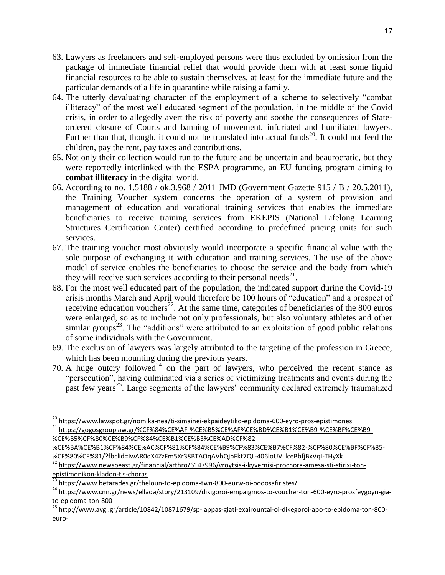- 63. Lawyers as freelancers and self-employed persons were thus excluded by omission from the package of immediate financial relief that would provide them with at least some liquid financial resources to be able to sustain themselves, at least for the immediate future and the particular demands of a life in quarantine while raising a family.
- 64. The utterly devaluating character of the employment of a scheme to selectively "combat illiteracy" of the most well educated segment of the population, in the middle of the Covid crisis, in order to allegedly avert the risk of poverty and soothe the consequences of Stateordered closure of Courts and banning of movement, infuriated and humiliated lawyers. Further than that, though, it could not be translated into actual funds<sup>20</sup>. It could not feed the children, pay the rent, pay taxes and contributions.
- 65. Not only their collection would run to the future and be uncertain and beaurocratic, but they were reportedly interlinked with the ESPA programme, an EU funding program aiming to **combat illiteracy** in the digital world.
- 66. According to no. 1.5188 / ok.3.968 / 2011 JMD (Government Gazette 915 / B / 20.5.2011), the Training Voucher system concerns the operation of a system of provision and management of education and vocational training services that enables the immediate beneficiaries to receive training services from EKEPIS (National Lifelong Learning Structures Certification Center) certified according to predefined pricing units for such services.
- 67. The training voucher most obviously would incorporate a specific financial value with the sole purpose of exchanging it with education and training services. The use of the above model of service enables the beneficiaries to choose the service and the body from which they will receive such services according to their personal needs<sup>21</sup>.
- 68. For the most well educated part of the population, the indicated support during the Covid-19 crisis months March and April would therefore be 100 hours of "education" and a prospect of receiving education vouchers<sup>22</sup>. At the same time, categories of beneficiaries of the 800 euros were enlarged, so as to include not only professionals, but also voluntary athletes and other similar groups<sup>23</sup>. The "additions" were attributed to an exploitation of good public relations of some individuals with the Government.
- 69. The exclusion of lawyers was largely attributed to the targeting of the profession in Greece, which has been mounting during the previous years.
- 70. A huge outcry followed<sup>24</sup> on the part of lawyers, who perceived the recent stance as "persecution", having culminated via a series of victimizing treatments and events during the past few years<sup>25</sup>. Large segments of the lawyers' community declared extremely traumatized

 $\overline{\phantom{a}}$ 

<sup>20</sup> <https://www.lawspot.gr/nomika-nea/ti-simainei-ekpaideytiko-epidoma-600-eyro-pros-epistimones>

<sup>21</sup> [https://gogosgrouplaw.gr/%CF%84%CE%AF-%CE%B5%CE%AF%CE%BD%CE%B1%CE%B9-%CE%BF%CE%B9-](https://gogosgrouplaw.gr/%CF%84%CE%AF-%CE%B5%CE%AF%CE%BD%CE%B1%CE%B9-%CE%BF%CE%B9-%CE%B5%CF%80%CE%B9%CF%84%CE%B1%CE%B3%CE%AD%CF%82-%CE%BA%CE%B1%CF%84%CE%AC%CF%81%CF%84%CE%B9%CF%83%CE%B7%CF%82-%CF%80%CE%BF%CF%85-%CF%80%CF%81/?fbclid=IwAR0dX4ZzFm5Xr38BTAOqAVhQjbFkt7QL-406loUVLlceBbfjBxVqI-THyXk) [%CE%B5%CF%80%CE%B9%CF%84%CE%B1%CE%B3%CE%AD%CF%82-](https://gogosgrouplaw.gr/%CF%84%CE%AF-%CE%B5%CE%AF%CE%BD%CE%B1%CE%B9-%CE%BF%CE%B9-%CE%B5%CF%80%CE%B9%CF%84%CE%B1%CE%B3%CE%AD%CF%82-%CE%BA%CE%B1%CF%84%CE%AC%CF%81%CF%84%CE%B9%CF%83%CE%B7%CF%82-%CF%80%CE%BF%CF%85-%CF%80%CF%81/?fbclid=IwAR0dX4ZzFm5Xr38BTAOqAVhQjbFkt7QL-406loUVLlceBbfjBxVqI-THyXk)

[<sup>%</sup>CE%BA%CE%B1%CF%84%CE%AC%CF%81%CF%84%CE%B9%CF%83%CE%B7%CF%82-%CF%80%CE%BF%CF%85-](https://gogosgrouplaw.gr/%CF%84%CE%AF-%CE%B5%CE%AF%CE%BD%CE%B1%CE%B9-%CE%BF%CE%B9-%CE%B5%CF%80%CE%B9%CF%84%CE%B1%CE%B3%CE%AD%CF%82-%CE%BA%CE%B1%CF%84%CE%AC%CF%81%CF%84%CE%B9%CF%83%CE%B7%CF%82-%CF%80%CE%BF%CF%85-%CF%80%CF%81/?fbclid=IwAR0dX4ZzFm5Xr38BTAOqAVhQjbFkt7QL-406loUVLlceBbfjBxVqI-THyXk) [%CF%80%CF%81/?fbclid=IwAR0dX4ZzFm5Xr38BTAOqAVhQjbFkt7QL-406loUVLlceBbfjBxVqI-THyXk](https://gogosgrouplaw.gr/%CF%84%CE%AF-%CE%B5%CE%AF%CE%BD%CE%B1%CE%B9-%CE%BF%CE%B9-%CE%B5%CF%80%CE%B9%CF%84%CE%B1%CE%B3%CE%AD%CF%82-%CE%BA%CE%B1%CF%84%CE%AC%CF%81%CF%84%CE%B9%CF%83%CE%B7%CF%82-%CF%80%CE%BF%CF%85-%CF%80%CF%81/?fbclid=IwAR0dX4ZzFm5Xr38BTAOqAVhQjbFkt7QL-406loUVLlceBbfjBxVqI-THyXk)

<sup>22</sup> [https://www.newsbeast.gr/financial/arthro/6147996/vroytsis-i-kyvernisi-prochora-amesa-sti-stirixi-ton](https://www.newsbeast.gr/financial/arthro/6147996/vroytsis-i-kyvernisi-prochora-amesa-sti-stirixi-ton-epistimonikon-kladon-tis-choras)[epistimonikon-kladon-tis-choras](https://www.newsbeast.gr/financial/arthro/6147996/vroytsis-i-kyvernisi-prochora-amesa-sti-stirixi-ton-epistimonikon-kladon-tis-choras)<br>
<sup>23</sup> http://

<https://www.betarades.gr/theloun-to-epidoma-twn-800-eurw-oi-podosafiristes/>

<sup>24</sup> [https://www.cnn.gr/news/ellada/story/213109/dikigoroi-empaigmos-to-voucher-ton-600-eyro-prosfeygoyn-gia](https://www.cnn.gr/news/ellada/story/213109/dikigoroi-empaigmos-to-voucher-ton-600-eyro-prosfeygoyn-gia-to-epidoma-ton-800)[to-epidoma-ton-800](https://www.cnn.gr/news/ellada/story/213109/dikigoroi-empaigmos-to-voucher-ton-600-eyro-prosfeygoyn-gia-to-epidoma-ton-800)

<sup>&</sup>lt;sup>25</sup> [http://www.avgi.gr/article/10842/10871679/sp-lappas-giati-exairountai-oi-dikegoroi-apo-to-epidoma-ton-800](http://www.avgi.gr/article/10842/10871679/sp-lappas-giati-exairountai-oi-dikegoroi-apo-to-epidoma-ton-800-euro-) [euro-](http://www.avgi.gr/article/10842/10871679/sp-lappas-giati-exairountai-oi-dikegoroi-apo-to-epidoma-ton-800-euro-)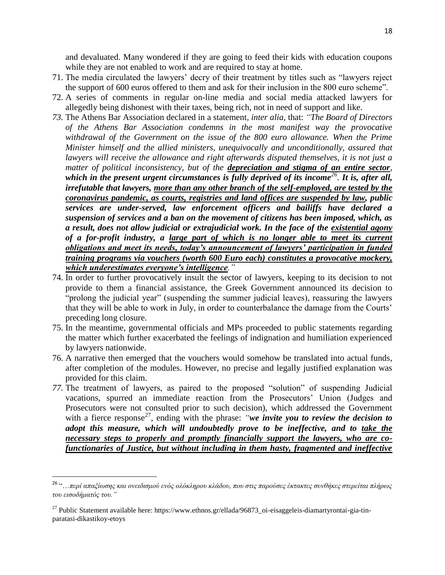and devaluated. Many wondered if they are going to feed their kids with education coupons while they are not enabled to work and are required to stay at home.

- 71. The media circulated the lawyers' decry of their treatment by titles such as "lawyers reject the support of 600 euros offered to them and ask for their inclusion in the 800 euro scheme".
- 72. A series of comments in regular on-line media and social media attacked lawyers for allegedly being dishonest with their taxes, being rich, not in need of support and like.
- *73.* The Athens Bar Association declared in a statement*, inter alia*, that: *"The Board of Directors of the Athens Bar Association condemns in the most manifest way the provocative withdrawal of the Government on the issue of the 800 euro allowance. When the Prime Minister himself and the allied ministers, unequivocally and unconditionally, assured that lawyers will receive the allowance and right afterwards disputed themselves, it is not just a matter of political inconsistency, but of the depreciation and stigma of an entire sector, which in the present urgent circumstances is fully deprived of its income<sup>26</sup> . It is, after all, irrefutable that lawyers, more than any other branch of the self-employed, are tested by the coronavirus pandemic, as courts, registries and land offices are suspended by law, public services are under-served, law enforcement officers and bailiffs have declared a suspension of services and a ban on the movement of citizens has been imposed, which, as a result, does not allow judicial or extrajudicial work. In the face of the existential agony* of a for-profit industry, a <u>large part of which is no longer able to meet its current</u> *obligations and meet its needs, today's announcement of lawyers' participation in funded training programs via vouchers (worth 600 Euro each) constitutes a provocative mockery, which underestimates everyone's intelligence."*
- 74. In order to further provocatively insult the sector of lawyers, keeping to its decision to not provide to them a financial assistance, the Greek Government announced its decision to "prolong the judicial year" (suspending the summer judicial leaves), reassuring the lawyers that they will be able to work in July, in order to counterbalance the damage from the Courts' preceding long closure.
- 75. In the meantime, governmental officials and MPs proceeded to public statements regarding the matter which further exacerbated the feelings of indignation and humiliation experienced by lawyers nationwide.
- 76. A narrative then emerged that the vouchers would somehow be translated into actual funds, after completion of the modules. However, no precise and legally justified explanation was provided for this claim.
- *77.* The treatment of lawyers, as paired to the proposed "solution" of suspending Judicial vacations, spurred an immediate reaction from the Prosecutors' Union (Judges and Prosecutors were not consulted prior to such decision), which addressed the Government with a fierce response<sup>27</sup>, ending with the phrase: *"we invite you to review the decision to adopt this measure, which will undoubtedly prove to be ineffective, and to take the necessary steps to properly and promptly financially support the lawyers, who are cofunctionaries of Justice, but without including in them hasty, fragmented and ineffective*

 $\overline{\phantom{a}}$ 

<sup>26</sup> "…*περί απαξίωσης και ονειδισμού ενός ολόκληρου κλάδου, που στις παρούσες έκτακτες συνθήκες στερείται πλήρως του εισοδήματός του."*

<sup>27</sup> Public Statement available here: https://www.ethnos.gr/ellada/96873\_oi-eisaggeleis-diamartyrontai-gia-tinparatasi-dikastikoy-etoys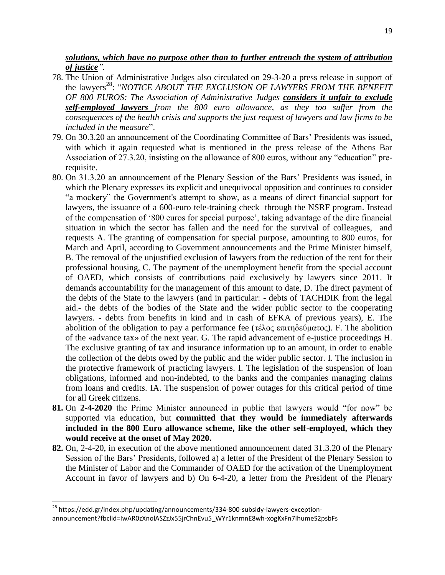*solutions, which have no purpose other than to further entrench the system of attribution of justice".*

- 78. The Union of Administrative Judges also circulated on 29-3-20 a press release in support of the lawyers<sup>28</sup>: "*NOTICE ABOUT THE EXCLUSION OF LAWYERS FROM THE BENEFIT OF 800 EUROS: The Association of Administrative Judges considers it unfair to exclude self-employed lawyers from the 800 euro allowance, as they too suffer from the consequences of the health crisis and supports the just request of lawyers and law firms to be included in the measure*".
- 79. On 30.3.20 an announcement of the Coordinating Committee of Bars' Presidents was issued, with which it again requested what is mentioned in the press release of the Athens Bar Association of 27.3.20, insisting on the allowance of 800 euros, without any "education" prerequisite.
- 80. On 31.3.20 an announcement of the Plenary Session of the Bars' Presidents was issued, in which the Plenary expresses its explicit and unequivocal opposition and continues to consider "a mockery" the Government's attempt to show, as a means of direct financial support for lawyers, the issuance of a 600-euro tele-training check through the NSRF program. Instead of the compensation of '800 euros for special purpose', taking advantage of the dire financial situation in which the sector has fallen and the need for the survival of colleagues, and requests A. The granting of compensation for special purpose, amounting to 800 euros, for March and April, according to Government announcements and the Prime Minister himself, B. The removal of the unjustified exclusion of lawyers from the reduction of the rent for their professional housing, C. The payment of the unemployment benefit from the special account of OAED, which consists of contributions paid exclusively by lawyers since 2011. It demands accountability for the management of this amount to date, D. The direct payment of the debts of the State to the lawyers (and in particular: - debts of TACHDIK from the legal aid.- the debts of the bodies of the State and the wider public sector to the cooperating lawyers. - debts from benefits in kind and in cash of EFKA of previous years), E. The abolition of the obligation to pay a performance fee (τέλος επιτηδεύματος). F. The abolition of the «advance tax» of the next year. G. The rapid advancement of e-justice proceedings H. The exclusive granting of tax and insurance information up to an amount, in order to enable the collection of the debts owed by the public and the wider public sector. I. The inclusion in the protective framework of practicing lawyers. I. The legislation of the suspension of loan obligations, informed and non-indebted, to the banks and the companies managing claims from loans and credits. IA. The suspension of power outages for this critical period of time for all Greek citizens.
- **81.** On **2-4-2020** the Prime Minister announced in public that lawyers would "for now" be supported via education, but **committed that they would be immediately afterwards included in the 800 Euro allowance scheme, like the other self-employed, which they would receive at the onset of May 2020.**
- **82.** On, 2-4-20, in execution of the above mentioned announcement dated 31.3.20 of the Plenary Session of the Bars' Presidents, followed a) a letter of the President of the Plenary Session to the Minister of Labor and the Commander of OAED for the activation of the Unemployment Account in favor of lawyers and b) On 6-4-20, a letter from the President of the Plenary

l

<sup>&</sup>lt;sup>28</sup> [https://edd.gr/index.php/updating/announcements/334-800-subsidy-lawyers-exception](https://edd.gr/index.php/updating/announcements/334-800-subsidy-lawyers-exception-announcement?fbclid=IwAR0zXnolASZzJx55jrChnEvu5_WYr1knmnE8wh-xogKxFn7IhumeS2psbFs)[announcement?fbclid=IwAR0zXnolASZzJx55jrChnEvu5\\_WYr1knmnE8wh-xogKxFn7IhumeS2psbFs](https://edd.gr/index.php/updating/announcements/334-800-subsidy-lawyers-exception-announcement?fbclid=IwAR0zXnolASZzJx55jrChnEvu5_WYr1knmnE8wh-xogKxFn7IhumeS2psbFs)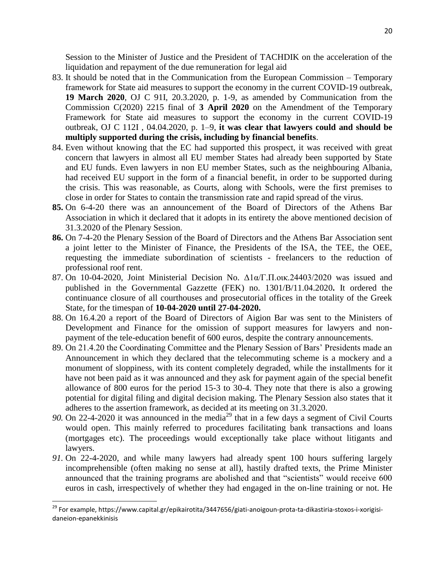Session to the Minister of Justice and the President of TACHDIK on the acceleration of the liquidation and repayment of the due remuneration for legal aid

- 83. It should be noted that in the Communication from the European Commission Temporary framework for State aid measures to support the economy in the current COVID-19 outbreak, **19 March 2020**, OJ C 91I, 20.3.2020, p. 1-9, as amended by Communication from the Commission C(2020) 2215 final of **3 April 2020** on the Amendment of the Temporary Framework for State aid measures to support the economy in the current COVID-19 outbreak, OJ C 112I , 04.04.2020, p. 1–9, **it was clear that lawyers could and should be multiply supported during the crisis, including by financial benefits**.
- 84. Even without knowing that the EC had supported this prospect, it was received with great concern that lawyers in almost all EU member States had already been supported by State and EU funds. Even lawyers in non EU member States, such as the neighbouring Albania, had received EU support in the form of a financial benefit, in order to be supported during the crisis. This was reasonable, as Courts, along with Schools, were the first premises to close in order for States to contain the transmission rate and rapid spread of the virus.
- **85.** On 6-4-20 there was an announcement of the Board of Directors of the Athens Bar Association in which it declared that it adopts in its entirety the above mentioned decision of 31.3.2020 of the Plenary Session.
- **86.** On 7-4-20 the Plenary Session of the Board of Directors and the Athens Bar Association sent a joint letter to the Minister of Finance, the Presidents of the ISA, the TEE, the OEE, requesting the immediate subordination of scientists - freelancers to the reduction of professional roof rent.
- 87. On 10-04-2020, Joint Ministerial Decision No. Δ1α/Γ.Π.οικ.24403/2020 was issued and published in the Governmental Gazzette (FEK) no. 1301/B/11.04.2020**.** It ordered the continuance closure of all courthouses and prosecutorial offices in the totality of the Greek State, for the timespan of **10-04-2020 until 27-04-2020.**
- 88. On 16.4.20 a report of the Board of Directors of Aigion Bar was sent to the Ministers of Development and Finance for the omission of support measures for lawyers and nonpayment of the tele-education benefit of 600 euros, despite the contrary announcements.
- 89. On 21.4.20 the Coordinating Committee and the Plenary Session of Bars' Presidents made an Announcement in which they declared that the telecommuting scheme is a mockery and a monument of sloppiness, with its content completely degraded, while the installments for it have not been paid as it was announced and they ask for payment again of the special benefit allowance of 800 euros for the period 15-3 to 30-4. They note that there is also a growing potential for digital filing and digital decision making. The Plenary Session also states that it adheres to the assertion framework, as decided at its meeting on 31.3.2020.
- 90. On 22-4-2020 it was announced in the media<sup>29</sup> that in a few days a segment of Civil Courts would open. This mainly referred to procedures facilitating bank transactions and loans (mortgages etc). The proceedings would exceptionally take place without litigants and lawyers.
- *91.* On 22-4-2020, and while many lawyers had already spent 100 hours suffering largely incomprehensible (often making no sense at all), hastily drafted texts, the Prime Minister announced that the training programs are abolished and that "scientists" would receive 600 euros in cash, irrespectively of whether they had engaged in the on-line training or not. He

l <sup>29</sup> For example, https://www.capital.gr/epikairotita/3447656/giati-anoigoun-prota-ta-dikastiria-stoxos-i-xorigisidaneion-epanekkinisis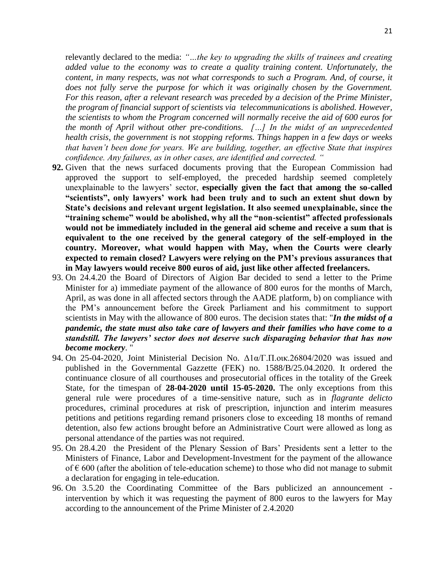relevantly declared to the media: *"…the key to upgrading the skills of trainees and creating added value to the economy was to create a quality training content. Unfortunately, the content, in many respects, was not what corresponds to such a Program. And, of course, it does not fully serve the purpose for which it was originally chosen by the Government. For this reason, after a relevant research was preceded by a decision of the Prime Minister, the program of financial support of scientists via telecommunications is abolished. However, the scientists to whom the Program concerned will normally receive the aid of 600 euros for the month of April without other pre-conditions. […] In the midst of an unprecedented health crisis, the government is not stopping reforms. Things happen in a few days or weeks that haven't been done for years. We are building, together, an effective State that inspires confidence. Any failures, as in other cases, are identified and corrected. "*

- **92.** Given that the news surfaced documents proving that the European Commission had approved the support to self-employed, the preceded hardship seemed completely unexplainable to the lawyers' sector, **especially given the fact that among the so-called "scientists", only lawyers' work had been truly and to such an extent shut down by State's decisions and relevant urgent legislation. It also seemed unexplainable, since the "training scheme" would be abolished, why all the "non-scientist" affected professionals would not be immediately included in the general aid scheme and receive a sum that is equivalent to the one received by the general category of the self-employed in the country. Moreover, what would happen with May, when the Courts were clearly expected to remain closed? Lawyers were relying on the PM's previous assurances that in May lawyers would receive 800 euros of aid, just like other affected freelancers.**
- 93. On 24.4.20 the Board of Directors of Aigion Bar decided to send a letter to the Prime Minister for a) immediate payment of the allowance of 800 euros for the months of March, April, as was done in all affected sectors through the AADE platform, b) on compliance with the PM's announcement before the Greek Parliament and his commitment to support scientists in May with the allowance of 800 euros. The decision states that: "*In the midst of a pandemic, the state must also take care of lawyers and their families who have come to a standstill. The lawyers' sector does not deserve such disparaging behavior that has now become mockery*. "
- 94. On 25-04-2020, Joint Ministerial Decision No.  $Δ1α/T \cdot \text{II} \cdot \text{OK} \cdot 26804/2020$  was issued and published in the Governmental Gazzette (FEK) no. 1588/B/25.04.2020. It ordered the continuance closure of all courthouses and prosecutorial offices in the totality of the Greek State, for the timespan of **28-04-2020 until 15-05-2020.** The only exceptions from this general rule were procedures of a time-sensitive nature, such as in *flagrante delicto* procedures, criminal procedures at risk of prescription, injunction and interim measures petitions and petitions regarding remand prisoners close to exceeding 18 months of remand detention, also few actions brought before an Administrative Court were allowed as long as personal attendance of the parties was not required.
- 95. On 28.4.20 the President of the Plenary Session of Bars' Presidents sent a letter to the Ministers of Finance, Labor and Development-Investment for the payment of the allowance of  $\epsilon$  600 (after the abolition of tele-education scheme) to those who did not manage to submit a declaration for engaging in tele-education.
- 96. On 3.5.20 the Coordinating Committee of the Bars publicized an announcement intervention by which it was requesting the payment of 800 euros to the lawyers for May according to the announcement of the Prime Minister of 2.4.2020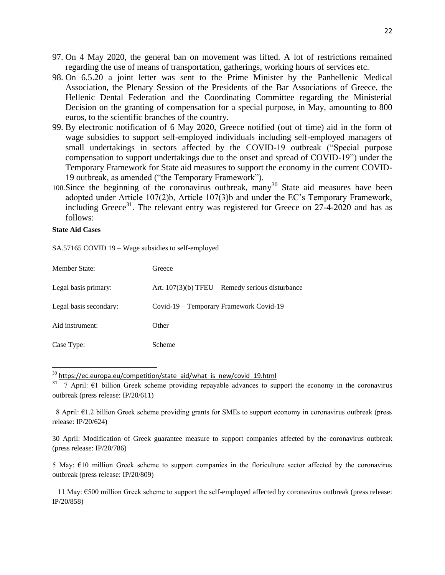- 97. On 4 May 2020, the general ban on movement was lifted. A lot of restrictions remained regarding the use of means of transportation, gatherings, working hours of services etc.
- 98. On 6.5.20 a joint letter was sent to the Prime Minister by the Panhellenic Medical Association, the Plenary Session of the Presidents of the Bar Associations of Greece, the Hellenic Dental Federation and the Coordinating Committee regarding the Ministerial Decision on the granting of compensation for a special purpose, in May, amounting to 800 euros, to the scientific branches of the country.
- 99. By electronic notification of 6 May 2020, Greece notified (out of time) aid in the form of wage subsidies to support self-employed individuals including self-employed managers of small undertakings in sectors affected by the COVID-19 outbreak ("Special purpose compensation to support undertakings due to the onset and spread of COVID-19") under the Temporary Framework for State aid measures to support the economy in the current COVID-19 outbreak, as amended ("the Temporary Framework").
- 100. Since the beginning of the coronavirus outbreak, many<sup>30</sup> State aid measures have been adopted under Article 107(2)b, Article 107(3)b and under the EC's Temporary Framework, including Greece<sup>31</sup>. The relevant entry was registered for Greece on  $27-4-2020$  and has as follows:

#### **State Aid Cases**

 $\overline{a}$ 

SA.57165 COVID 19 – Wage subsidies to self-employed

| <b>Member State:</b>   | Greece                                             |
|------------------------|----------------------------------------------------|
| Legal basis primary:   | Art. $107(3)(b)$ TFEU – Remedy serious disturbance |
| Legal basis secondary: | Covid-19 – Temporary Framework Covid-19            |
| Aid instrument:        | Other                                              |
| Case Type:             | Scheme                                             |

 $30$  https://ec.europa.eu/competition/state aid/what is new/covid 19.html

 8 April: €1.2 billion Greek scheme providing grants for SMEs to support economy in coronavirus outbreak (press release: IP/20/624)

30 April: Modification of Greek guarantee measure to support companies affected by the coronavirus outbreak (press release: IP/20/786)

5 May: €10 million Greek scheme to support companies in the floriculture sector affected by the coronavirus outbreak (press release: IP/20/809)

 11 May: €500 million Greek scheme to support the self-employed affected by coronavirus outbreak (press release: IP/20/858)

<sup>&</sup>lt;sup>31</sup> 7 April:  $\epsilon$ 1 billion Greek scheme providing repayable advances to support the economy in the coronavirus outbreak (press release: IP/20/611)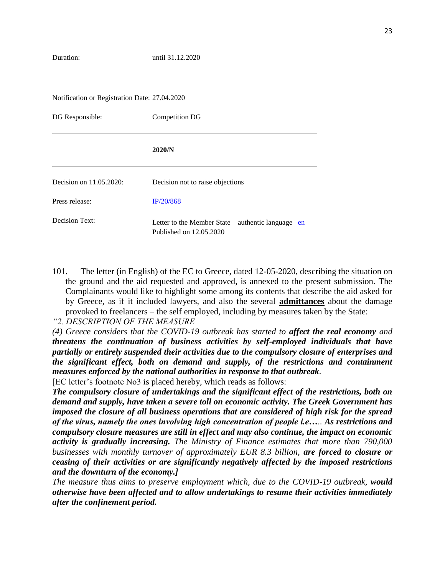Notification or Registration Date: 27.04.2020

| DG Responsible:         | Competition DG                                                                |  |
|-------------------------|-------------------------------------------------------------------------------|--|
|                         | 2020/N                                                                        |  |
| Decision on 11.05.2020: | Decision not to raise objections                                              |  |
| Press release:          | IP/20/868                                                                     |  |
| Decision Text:          | Letter to the Member State – authentic language en<br>Published on 12.05.2020 |  |

101. The letter (in English) of the EC to Greece, dated 12-05-2020, describing the situation on the ground and the aid requested and approved, is annexed to the present submission. The Complainants would like to highlight some among its contents that describe the aid asked for by Greece, as if it included lawyers, and also the several **admittances** about the damage provoked to freelancers – the self employed, including by measures taken by the State:

*"2. DESCRIPTION OF THE MEASURE* 

*(4) Greece considers that the COVID-19 outbreak has started to affect the real economy and threatens the continuation of business activities by self-employed individuals that have partially or entirely suspended their activities due to the compulsory closure of enterprises and the significant effect, both on demand and supply, of the restrictions and containment measures enforced by the national authorities in response to that outbreak.*

[EC letter's footnote No3 is placed hereby, which reads as follows:

*The compulsory closure of undertakings and the significant effect of the restrictions, both on demand and supply, have taken a severe toll on economic activity. The Greek Government has imposed the closure of all business operations that are considered of high risk for the spread of the virus, namely the ones involving high concentration of people i.e….. As restrictions and compulsory closure measures are still in effect and may also continue, the impact on economic activity is gradually increasing. The Ministry of Finance estimates that more than 790,000 businesses with monthly turnover of approximately EUR 8.3 billion, are forced to closure or ceasing of their activities or are significantly negatively affected by the imposed restrictions and the downturn of the economy.]* 

*The measure thus aims to preserve employment which, due to the COVID-19 outbreak, would otherwise have been affected and to allow undertakings to resume their activities immediately after the confinement period.*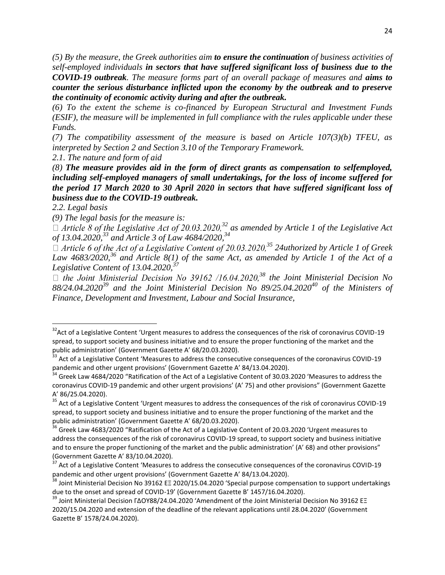*(5) By the measure, the Greek authorities aim to ensure the continuation of business activities of self-employed individuals in sectors that have suffered significant loss of business due to the COVID-19 outbreak. The measure forms part of an overall package of measures and aims to counter the serious disturbance inflicted upon the economy by the outbreak and to preserve the continuity of economic activity during and after the outbreak.* 

*(6) To the extent the scheme is co-financed by European Structural and Investment Funds (ESIF), the measure will be implemented in full compliance with the rules applicable under these Funds.* 

*(7) The compatibility assessment of the measure is based on Article 107(3)(b) TFEU, as interpreted by Section 2 and Section 3.10 of the Temporary Framework.* 

*2.1. The nature and form of aid* 

*(8) The measure provides aid in the form of direct grants as compensation to selfemployed, including self-employed managers of small undertakings, for the loss of income suffered for the period 17 March 2020 to 30 April 2020 in sectors that have suffered significant loss of business due to the COVID-19 outbreak.* 

*2.2. Legal basis* 

 $\overline{a}$ 

*(9) The legal basis for the measure is:*

 $\Box$  *Article 8 of the Legislative Act of 20.03.2020,*<sup>32</sup> as amended by Article 1 of the Legislative Act *of 13.04.2020,<sup>33</sup> and Article 3 of Law 4684/2020,<sup>34</sup>*

□ Article 6 of the Act of a Legislative Content of 20.03.2020,<sup>35</sup> 24uthorized by Article 1 of Greek *Law 4683/2020,<sup>36</sup> and Article 8(1) of the same Act, as amended by Article 1 of the Act of a Legislative Content of 13.04.2020,<sup>37</sup>*

□ *the Joint Ministerial Decision No 39162 /16.04.2020,<sup>38</sup> the Joint Ministerial Decision No 88/24.04.2020<sup>39</sup> and the Joint Ministerial Decision No 89/25.04.2020<sup>40</sup> of the Ministers of Finance, Development and Investment, Labour and Social Insurance,* 

<sup>&</sup>lt;sup>32</sup>Act of a Legislative Content 'Urgent measures to address the consequences of the risk of coronavirus COVID-19 spread, to support society and business initiative and to ensure the proper functioning of the market and the public administration' (Government Gazette A' 68/20.03.2020).

<sup>&</sup>lt;sup>33</sup> Act of a Legislative Content 'Measures to address the consecutive consequences of the coronavirus COVID-19 pandemic and other urgent provisions' (Government Gazette A' 84/13.04.2020).

Greek Law 4684/2020 "Ratification of the Act of a Legislative Content of 30.03.2020 'Measures to address the coronavirus COVID-19 pandemic and other urgent provisions' (A' 75) and other provisions" (Government Gazette A' 86/25.04.2020).

<sup>&</sup>lt;sup>35</sup> Act of a Legislative Content 'Urgent measures to address the consequences of the risk of coronavirus COVID-19 spread, to support society and business initiative and to ensure the proper functioning of the market and the public administration' (Government Gazette A' 68/20.03.2020).

<sup>&</sup>lt;sup>36</sup> Greek Law 4683/2020 "Ratification of the Act of a Legislative Content of 20.03.2020 'Urgent measures to address the consequences of the risk of coronavirus COVID-19 spread, to support society and business initiative and to ensure the proper functioning of the market and the public administration' (A' 68) and other provisions" (Government Gazette A' 83/10.04.2020).

Act of a Legislative Content 'Measures to address the consecutive consequences of the coronavirus COVID-19 pandemic and other urgent provisions' (Government Gazette A' 84/13.04.2020).

<sup>&</sup>lt;sup>38</sup> Joint Ministerial Decision No 39162 EΞ 2020/15.04.2020 'Special purpose compensation to support undertakings due to the onset and spread of COVID-19' (Government Gazette B' 1457/16.04.2020).

<sup>&</sup>lt;sup>39</sup> Joint Ministerial Decision ΓΔΟΥ88/24.04.2020 'Amendment of the Joint Ministerial Decision No 39162 ΕΞ 2020/15.04.2020 and extension of the deadline of the relevant applications until 28.04.2020' (Government Gazette B' 1578/24.04.2020).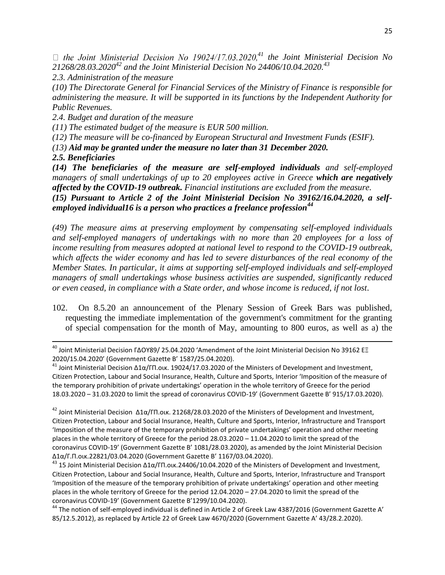$\Box$  the Joint Ministerial Decision No 19024/17.03.2020.<sup>41</sup> the Joint Ministerial Decision No *21268/28.03.2020<sup>42</sup> and the Joint Ministerial Decision No 24406/10.04.2020.<sup>43</sup>* 

*2.3. Administration of the measure* 

*(10) The Directorate General for Financial Services of the Ministry of Finance is responsible for administering the measure. It will be supported in its functions by the Independent Authority for Public Revenues.* 

*2.4. Budget and duration of the measure* 

*(11) The estimated budget of the measure is EUR 500 million.* 

*(12) The measure will be co-financed by European Structural and Investment Funds (ESIF).* 

*(13) Aid may be granted under the measure no later than 31 December 2020.*

*2.5. Beneficiaries* 

l

*(14) The beneficiaries of the measure are self-employed individuals and self-employed managers of small undertakings of up to 20 employees active in Greece which are negatively affected by the COVID-19 outbreak. Financial institutions are excluded from the measure.* 

*(15) Pursuant to Article 2 of the Joint Ministerial Decision No 39162/16.04.2020, a selfemployed individual16 is a person who practices a freelance profession<sup>44</sup>*

*(49) The measure aims at preserving employment by compensating self-employed individuals and self-employed managers of undertakings with no more than 20 employees for a loss of income resulting from measures adopted at national level to respond to the COVID-19 outbreak, which affects the wider economy and has led to severe disturbances of the real economy of the Member States. In particular, it aims at supporting self-employed individuals and self-employed managers of small undertakings whose business activities are suspended, significantly reduced or even ceased, in compliance with a State order, and whose income is reduced, if not lost*.

102. On 8.5.20 an announcement of the Plenary Session of Greek Bars was published, requesting the immediate implementation of the government's commitment for the granting of special compensation for the month of May, amounting to 800 euros, as well as a) the

<sup>&</sup>lt;sup>40</sup> Joint Ministerial Decision ΓΔΟΥ89/ 25.04.2020 'Amendment of the Joint Ministerial Decision No 39162 ΕΞ 2020/15.04.2020' (Government Gazette B' 1587/25.04.2020).

<sup>&</sup>lt;sup>41</sup> Joint Ministerial Decision Δ1α/ΓΠ.οικ. 19024/17.03.2020 of the Ministers of Development and Investment, Citizen Protection, Labour and Social Insurance, Health, Culture and Sports, Interior 'Imposition of the measure of the temporary prohibition of private undertakings' operation in the whole territory of Greece for the period 18.03.2020 – 31.03.2020 to limit the spread of coronavirus COVID-19' (Government Gazette B' 915/17.03.2020).

<sup>&</sup>lt;sup>42</sup> Joint Ministerial Decision Δ1α/ΓΠ.οικ. 21268/28.03.2020 of the Ministers of Development and Investment, Citizen Protection, Labour and Social Insurance, Health, Culture and Sports, Interior, Infrastructure and Transport 'Imposition of the measure of the temporary prohibition of private undertakings' operation and other meeting places in the whole territory of Greece for the period 28.03.2020 – 11.04.2020 to limit the spread of the coronavirus COVID-19' (Government Gazette B' 1081/28.03.2020), as amended by the Joint Ministerial Decision Δ1α/Γ.Π.οικ.22821/03.04.2020 (Government Gazette B' 1167/03.04.2020).

<sup>&</sup>lt;sup>43</sup> 15 Joint Ministerial Decision Δ1α/ΓΠ.οικ.24406/10.04.2020 of the Ministers of Development and Investment, Citizen Protection, Labour and Social Insurance, Health, Culture and Sports, Interior, Infrastructure and Transport 'Imposition of the measure of the temporary prohibition of private undertakings' operation and other meeting places in the whole territory of Greece for the period 12.04.2020 – 27.04.2020 to limit the spread of the coronavirus COVID-19' (Government Gazette B'1299/10.04.2020).

<sup>44</sup> The notion of self-employed individual is defined in Article 2 of Greek Law 4387/2016 (Government Gazette Α' 85/12.5.2012), as replaced by Article 22 of Greek Law 4670/2020 (Government Gazette Α' 43/28.2.2020).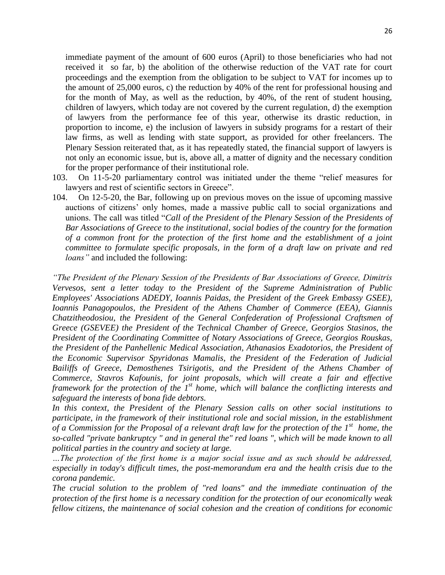immediate payment of the amount of 600 euros (April) to those beneficiaries who had not received it so far, b) the abolition of the otherwise reduction of the VAT rate for court proceedings and the exemption from the obligation to be subject to VAT for incomes up to the amount of 25,000 euros, c) the reduction by 40% of the rent for professional housing and for the month of May, as well as the reduction, by 40%, of the rent of student housing, children of lawyers, which today are not covered by the current regulation, d) the exemption of lawyers from the performance fee of this year, otherwise its drastic reduction, in proportion to income, e) the inclusion of lawyers in subsidy programs for a restart of their law firms, as well as lending with state support, as provided for other freelancers. The Plenary Session reiterated that, as it has repeatedly stated, the financial support of lawyers is not only an economic issue, but is, above all, a matter of dignity and the necessary condition for the proper performance of their institutional role.

- 103. On 11-5-20 parliamentary control was initiated under the theme "relief measures for lawyers and rest of scientific sectors in Greece".
- 104. On 12-5-20, the Bar, following up on previous moves on the issue of upcoming massive auctions of citizens' only homes, made a massive public call to social organizations and unions. The call was titled "*Call of the President of the Plenary Session of the Presidents of Bar Associations of Greece to the institutional, social bodies of the country for the formation of a common front for the protection of the first home and the establishment of a joint committee to formulate specific proposals, in the form of a draft law on private and red loans"* and included the following:

*"The President of the Plenary Session of the Presidents of Bar Associations of Greece, Dimitris Vervesos, sent a letter today to the President of the Supreme Administration of Public Employees' Associations ADEDY, Ioannis Paidas, the President of the Greek Embassy GSEE), Ioannis Panagopoulos, the President of the Athens Chamber of Commerce (EEA), Giannis Chatzitheodosiou, the President of the General Confederation of Professional Craftsmen of Greece (GSEVEE) the President of the Technical Chamber of Greece, Georgios Stasinos, the President of the Coordinating Committee of Notary Associations of Greece, Georgios Rouskas, the President of the Panhellenic Medical Association, Athanasios Exadotorios, the President of the Economic Supervisor Spyridonas Mamalis, the President of the Federation of Judicial Bailiffs of Greece, Demosthenes Tsirigotis, and the President of the Athens Chamber of Commerce, Stavros Kafounis, for joint proposals, which will create a fair and effective framework for the protection of the 1st home, which will balance the conflicting interests and safeguard the interests of bona fide debtors.*

*In this context, the President of the Plenary Session calls on other social institutions to participate, in the framework of their institutional role and social mission, in the establishment of a Commission for the Proposal of a relevant draft law for the protection of the 1st home, the so-called "private bankruptcy " and in general the" red loans ", which will be made known to all political parties in the country and society at large.*

*…The protection of the first home is a major social issue and as such should be addressed, especially in today's difficult times, the post-memorandum era and the health crisis due to the corona pandemic.*

*The crucial solution to the problem of "red loans" and the immediate continuation of the protection of the first home is a necessary condition for the protection of our economically weak fellow citizens, the maintenance of social cohesion and the creation of conditions for economic*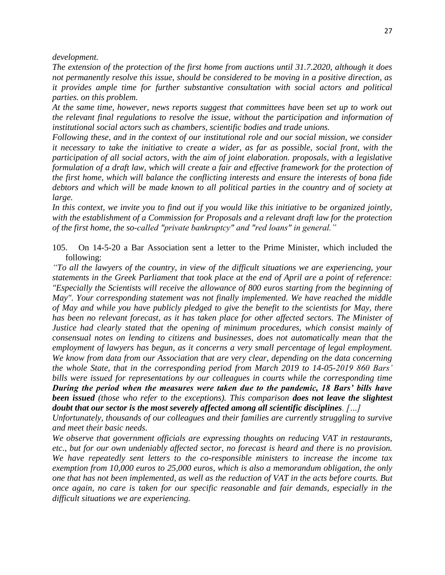*development.*

*The extension of the protection of the first home from auctions until 31.7.2020, although it does not permanently resolve this issue, should be considered to be moving in a positive direction, as it provides ample time for further substantive consultation with social actors and political parties. on this problem.*

*At the same time, however, news reports suggest that committees have been set up to work out the relevant final regulations to resolve the issue, without the participation and information of institutional social actors such as chambers, scientific bodies and trade unions.*

*Following these, and in the context of our institutional role and our social mission, we consider it necessary to take the initiative to create a wider, as far as possible, social front, with the participation of all social actors, with the aim of joint elaboration. proposals, with a legislative*  formulation of a draft law, which will create a fair and effective framework for the protection of *the first home, which will balance the conflicting interests and ensure the interests of bona fide debtors and which will be made known to all political parties in the country and of society at large.*

*In this context, we invite you to find out if you would like this initiative to be organized jointly, with the establishment of a Commission for Proposals and a relevant draft law for the protection of the first home, the so-called "private bankruptcy" and "red loans" in general."*

105. On 14-5-20 a Bar Association sent a letter to the Prime Minister, which included the following:

*"To all the lawyers of the country, in view of the difficult situations we are experiencing, your statements in the Greek Parliament that took place at the end of April are a point of reference: "Especially the Scientists will receive the allowance of 800 euros starting from the beginning of May". Your corresponding statement was not finally implemented. We have reached the middle of May and while you have publicly pledged to give the benefit to the scientists for May, there has been no relevant forecast, as it has taken place for other affected sectors. The Minister of Justice had clearly stated that the opening of minimum procedures, which consist mainly of consensual notes on lending to citizens and businesses, does not automatically mean that the employment of lawyers has begun, as it concerns a very small percentage of legal employment. We know from data from our Association that are very clear, depending on the data concerning the whole State, that in the corresponding period from March 2019 to 14-05-2019 860 Bars' bills were issued for representations by our colleagues in courts while the corresponding time During the period when the measures were taken due to the pandemic, 18 Bars' bills have been issued (those who refer to the exceptions). This comparison does not leave the slightest doubt that our sector is the most severely affected among all scientific disciplines. […]*

*Unfortunately, thousands of our colleagues and their families are currently struggling to survive and meet their basic needs.*

*We observe that government officials are expressing thoughts on reducing VAT in restaurants, etc., but for our own undeniably affected sector, no forecast is heard and there is no provision. We have repeatedly sent letters to the co-responsible ministers to increase the income tax exemption from 10,000 euros to 25,000 euros, which is also a memorandum obligation, the only one that has not been implemented, as well as the reduction of VAT in the acts before courts. But once again, no care is taken for our specific reasonable and fair demands, especially in the difficult situations we are experiencing.*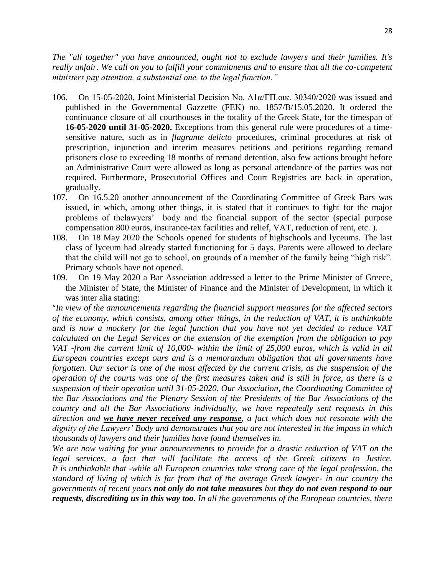*The "all together" you have announced, ought not to exclude lawyers and their families. It's really unfair. We call on you to fulfill your commitments and to ensure that all the co-competent ministers pay attention, a substantial one, to the legal function."*

- 106. On 15-05-2020, Joint Ministerial Decision No. Δ1α/ΓΠ.οικ. 30340/2020 was issued and published in the Governmental Gazzette (FEK) no. 1857/B/15.05.2020. It ordered the continuance closure of all courthouses in the totality of the Greek State, for the timespan of **16-05-2020 until 31-05-2020.** Exceptions from this general rule were procedures of a timesensitive nature, such as in *flagrante delicto* procedures, criminal procedures at risk of prescription, injunction and interim measures petitions and petitions regarding remand prisoners close to exceeding 18 months of remand detention, also few actions brought before an Administrative Court were allowed as long as personal attendance of the parties was not required. Furthermore, Prosecutorial Offices and Court Registries are back in operation, gradually.
- 107. On 16.5.20 another announcement of the Coordinating Committee of Greek Bars was issued, in which, among other things, it is stated that it continues to fight for the major problems of thelawyers' body and the financial support of the sector (special purpose compensation 800 euros, insurance-tax facilities and relief, VAT, reduction of rent, etc. ).
- 108. On 18 May 2020 the Schools opened for students of highschools and lyceums. The last class of lyceum had already started functioning for 5 days. Parents were allowed to declare that the child will not go to school, on grounds of a member of the family being "high risk". Primary schools have not opened.
- 109. On 19 May 2020 a Bar Association addressed a letter to the Prime Minister of Greece, the Minister of State, the Minister of Finance and the Minister of Development, in which it was inter alia stating:

"*In view of the announcements regarding the financial support measures for the affected sectors of the economy, which consists, among other things, in the reduction of VAT, it is unthinkable and is now a mockery for the legal function that you have not yet decided to reduce VAT calculated on the Legal Services or the extension of the exemption from the obligation to pay VAT -from the current limit of 10,000- within the limit of 25,000 euros, which is valid in all European countries except ours and is a memorandum obligation that all governments have forgotten. Our sector is one of the most affected by the current crisis, as the suspension of the operation of the courts was one of the first measures taken and is still in force, as there is a suspension of their operation until 31-05-2020. Our Association, the Coordinating Committee of the Bar Associations and the Plenary Session of the Presidents of the Bar Associations of the country and all the Bar Associations individually, we have repeatedly sent requests in this direction and we have never received any response, a fact which does not resonate with the dignity of the Lawyers' Body and demonstrates that you are not interested in the impass in which thousands of lawyers and their families have found themselves in.*

*We are now waiting for your announcements to provide for a drastic reduction of VAT on the legal services, a fact that will facilitate the access of the Greek citizens to Justice. It is unthinkable that -while all European countries take strong care of the legal profession, the standard of living of which is far from that of the average Greek lawyer- in our country the governments of recent years not only do not take measures but they do not even respond to our requests, discrediting us in this way too. In all the governments of the European countries, there*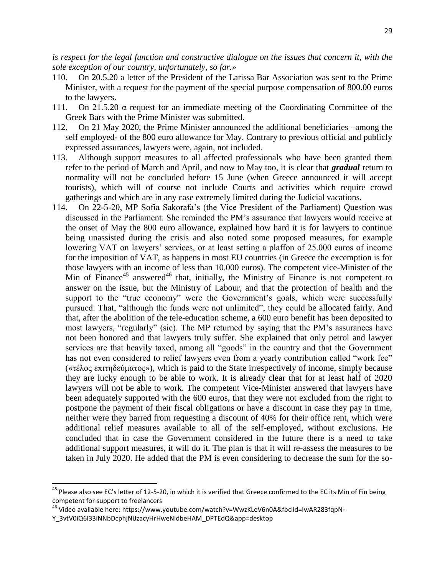*is respect for the legal function and constructive dialogue on the issues that concern it, with the sole exception of our country, unfortunately, so far.»*

- 110. On 20.5.20 a letter of the President of the Larissa Bar Association was sent to the Prime Minister, with a request for the payment of the special purpose compensation of 800.00 euros to the lawyers.
- 111. On 21.5.20 α request for an immediate meeting of the Coordinating Committee of the Greek Bars with the Prime Minister was submitted.
- 112. On 21 May 2020, the Prime Minister announced the additional beneficiaries –among the self employed- of the 800 euro allowance for May. Contrary to previous official and publicly expressed assurances, lawyers were, again, not included.
- 113. Although support measures to all affected professionals who have been granted them refer to the period of March and April, and now to May too, it is clear that *gradual* return to normality will not be concluded before 15 June (when Greece announced it will accept tourists), which will of course not include Courts and activities which require crowd gatherings and which are in any case extremely limited during the Judicial vacations.
- 114. On 22-5-20, MP Sofia Sakorafa's (the Vice President of the Parliament) Question was discussed in the Parliament. She reminded the PM's assurance that lawyers would receive at the onset of May the 800 euro allowance, explained how hard it is for lawyers to continue being unassisted during the crisis and also noted some proposed measures, for example lowering VAT on lawyers' services, or at least setting a plaffon of 25.000 euros of income for the imposition of VAT, as happens in most EU countries (in Greece the excemption is for those lawyers with an income of less than 10.000 euros). The competent vice-Minister of the Min of Finance<sup>45</sup> answered<sup>46</sup> that, initially, the Ministry of Finance is not competent to answer on the issue, but the Ministry of Labour, and that the protection of health and the support to the "true economy" were the Government's goals, which were successfully pursued. That, "although the funds were not unlimited", they could be allocated fairly. And that, after the abolition of the tele-education scheme, a 600 euro benefit has been deposited to most lawyers, "regularly" (sic). The MP returned by saying that the PM's assurances have not been honored and that lawyers truly suffer. She explained that only petrol and lawyer services are that heavily taxed, among all "goods" in the country and that the Government has not even considered to relief lawyers even from a yearly contribution called "work fee" («τέλος επιτηδεύματος»), which is paid to the State irrespectively of income, simply because they are lucky enough to be able to work. It is already clear that for at least half of 2020 lawyers will not be able to work. The competent Vice-Minister answered that lawyers have been adequately supported with the 600 euros, that they were not excluded from the right to postpone the payment of their fiscal obligations or have a discount in case they pay in time, neither were they barred from requesting a discount of 40% for their office rent, which were additional relief measures available to all of the self-employed, without exclusions. He concluded that in case the Government considered in the future there is a need to take additional support measures, it will do it. The plan is that it will re-assess the measures to be taken in July 2020. He added that the PM is even considering to decrease the sum for the so-

 $\overline{a}$ 

<sup>&</sup>lt;sup>45</sup> Please also see EC's letter of 12-5-20, in which it is verified that Greece confirmed to the EC its Min of Fin being competent for support to freelancers

<sup>46</sup> Video available here: https://www.youtube.com/watch?v=WwzKLeV6n0A&fbclid=IwAR283fqpN-

Y\_3vtV0iQ6I33iNNbDcphjNiJzacyHrHweNidbeHAM\_DPTEdQ&app=desktop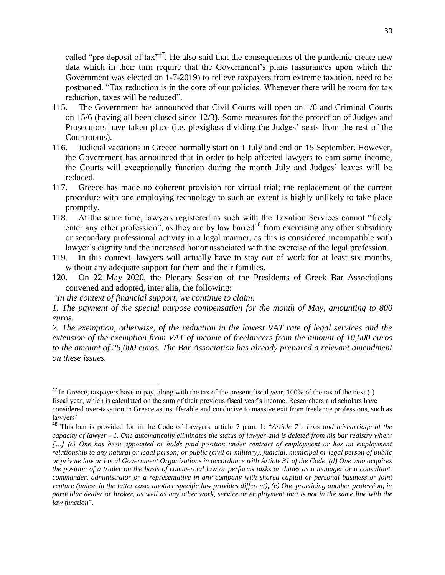called "pre-deposit of tax"<sup>47</sup>. He also said that the consequences of the pandemic create new data which in their turn require that the Government's plans (assurances upon which the Government was elected on 1-7-2019) to relieve taxpayers from extreme taxation, need to be postponed. "Tax reduction is in the core of our policies. Whenever there will be room for tax reduction, taxes will be reduced".

- 115. The Government has announced that Civil Courts will open on 1/6 and Criminal Courts on 15/6 (having all been closed since 12/3). Some measures for the protection of Judges and Prosecutors have taken place (i.e. plexiglass dividing the Judges' seats from the rest of the Courtrooms).
- 116. Judicial vacations in Greece normally start on 1 July and end on 15 September. However, the Government has announced that in order to help affected lawyers to earn some income, the Courts will exceptionally function during the month July and Judges' leaves will be reduced.
- 117. Greece has made no coherent provision for virtual trial; the replacement of the current procedure with one employing technology to such an extent is highly unlikely to take place promptly.
- 118. At the same time, lawyers registered as such with the Taxation Services cannot "freely enter any other profession", as they are by law barred<sup>48</sup> from exercising any other subsidiary or secondary professional activity in a legal manner, as this is considered incompatible with lawyer's dignity and the increased honor associated with the exercise of the legal profession.
- 119. In this context, lawyers will actually have to stay out of work for at least six months, without any adequate support for them and their families.
- 120. On 22 May 2020, the Plenary Session of the Presidents of Greek Bar Associations convened and adopted, inter alia, the following:
- *"In the context of financial support, we continue to claim:*

 $\overline{\phantom{a}}$ 

*1. The payment of the special purpose compensation for the month of May, amounting to 800 euros.*

*2. The exemption, otherwise, of the reduction in the lowest VAT rate of legal services and the extension of the exemption from VAT of income of freelancers from the amount of 10,000 euros to the amount of 25,000 euros. The Bar Association has already prepared a relevant amendment on these issues.*

 $^{47}$  In Greece, taxpayers have to pay, along with the tax of the present fiscal year, 100% of the tax of the next (!) fiscal year, which is calculated on the sum of their previous fiscal year's income. Researchers and scholars have considered over-taxation in Greece as insufferable and conducive to massive exit from freelance professions, such as lawyers'

<sup>48</sup> This ban is provided for in the Code of Lawyers, article 7 para. 1: "*Article 7 - Loss and miscarriage of the capacity of lawyer - 1. One automatically eliminates the status of lawyer and is deleted from his bar registry when:*  […] (c) One has been appointed or holds paid position under contract of employment or has an employment *relationship to any natural or legal person; or public (civil or military), judicial, municipal or legal person of public or private law or Local Government Organizations in accordance with Article 31 of the Code, (d) One who acquires the position of a trader on the basis of commercial law or performs tasks or duties as a manager or a consultant, commander, administrator or a representative in any company with shared capital or personal business or joint venture (unless in the latter case, another specific law provides different), (e) One practicing another profession, in particular dealer or broker, as well as any other work, service or employment that is not in the same line with the law function*".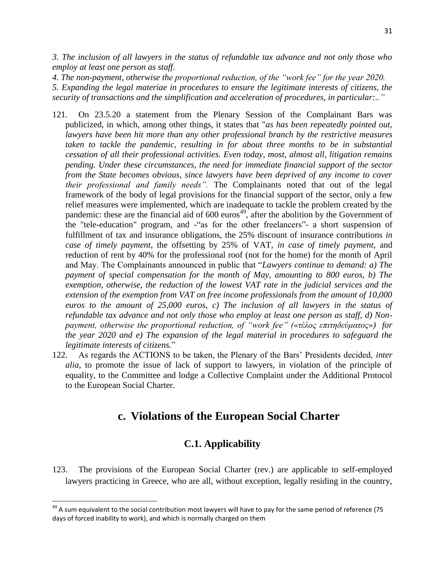*3. The inclusion of all lawyers in the status of refundable tax advance and not only those who employ at least one person as staff.*

*4. The non-payment, otherwise the proportional reduction, of the "work fee" for the year 2020.*

*5. Expanding the legal materiae in procedures to ensure the legitimate interests of citizens, the security of transactions and the simplification and acceleration of procedures, in particular:.."*

- 121. On 23.5.20 a statement from the Plenary Session of the Complainant Bars was publicized, in which, among other things, it states that "*as has been repeatedly pointed out, lawyers have been hit more than any other professional branch by the restrictive measures*  taken to tackle the pandemic, resulting in for about three months to be in substantial *cessation of all their professional activities. Even today, most, almost all, litigation remains pending. Under these circumstances, the need for immediate financial support of the sector from the State becomes obvious, since lawyers have been deprived of any income to cover their professional and family needs".* The Complainants noted that out of the legal framework of the body of legal provisions for the financial support of the sector, only a few relief measures were implemented, which are inadequate to tackle the problem created by the pandemic: these are the financial aid of  $600 \text{ euros}^{49}$ , after the abolition by the Government of the "tele-education" program, and -"as for the other freelancers"- a short suspension of fulfillment of tax and insurance obligations, the 25% discount of insurance contributions *in case of timely payment*, the offsetting by 25% of VAT, *in case of timely payment*, and reduction of rent by 40% for the professional roof (not for the home) for the month of April and May. The Complainants announced in public that "*Lawyers continue to demand: a) The payment of special compensation for the month of May, amounting to 800 euros, b) The exemption, otherwise, the reduction of the lowest VAT rate in the judicial services and the extension of the exemption from VAT on free income professionals from the amount of 10,000 euros to the amount of 25,000 euros, c) The inclusion of all lawyers in the status of refundable tax advance and not only those who employ at least one person as staff, d) Nonpayment, otherwise the proportional reduction, of "work fee" («τέλος επιτηδεύματος») for the year 2020 and e) The expansion of the legal material in procedures to safeguard the legitimate interests of citizens.*"
- 122. As regards the ACTIONS to be taken, the Plenary of the Bars' Presidents decided, *inter alia*, to promote the issue of lack of support to lawyers, in violation of the principle of equality, to the Committee and lodge a Collective Complaint under the Additional Protocol to the European Social Charter.

# **c. Violations of the European Social Charter**

# **C.1. Applicability**

123. The provisions of the European Social Charter (rev.) are applicable to self-employed lawyers practicing in Greece, who are all, without exception, legally residing in the country,

l

 $49$  A sum equivalent to the social contribution most lawyers will have to pay for the same period of reference (75 days of forced inability to work), and which is normally charged on them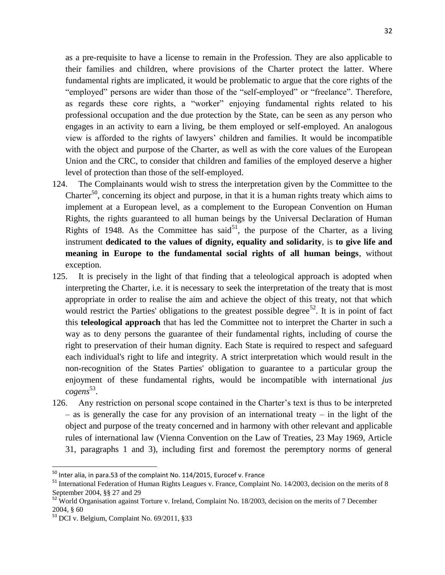as a pre-requisite to have a license to remain in the Profession. They are also applicable to their families and children, where provisions of the Charter protect the latter. Where fundamental rights are implicated, it would be problematic to argue that the core rights of the "employed" persons are wider than those of the "self-employed" or "freelance". Therefore, as regards these core rights, a "worker" enjoying fundamental rights related to his professional occupation and the due protection by the State, can be seen as any person who engages in an activity to earn a living, be them employed or self-employed. An analogous view is afforded to the rights of lawyers' children and families. It would be incompatible with the object and purpose of the Charter, as well as with the core values of the European Union and the CRC, to consider that children and families of the employed deserve a higher level of protection than those of the self-employed.

- 124. The Complainants would wish to stress the interpretation given by the Committee to the Charter<sup>50</sup>, concerning its object and purpose, in that it is a human rights treaty which aims to implement at a European level, as a complement to the European Convention on Human Rights, the rights guaranteed to all human beings by the Universal Declaration of Human Rights of 1948. As the Committee has said<sup>51</sup>, the purpose of the Charter, as a living instrument **dedicated to the values of dignity, equality and solidarity**, is **to give life and meaning in Europe to the fundamental social rights of all human beings**, without exception.
- 125. It is precisely in the light of that finding that a teleological approach is adopted when interpreting the Charter, i.e. it is necessary to seek the interpretation of the treaty that is most appropriate in order to realise the aim and achieve the object of this treaty, not that which would restrict the Parties' obligations to the greatest possible degree<sup>52</sup>. It is in point of fact this **teleological approach** that has led the Committee not to interpret the Charter in such a way as to deny persons the guarantee of their fundamental rights, including of course the right to preservation of their human dignity. Each State is required to respect and safeguard each individual's right to life and integrity. A strict interpretation which would result in the non-recognition of the States Parties' obligation to guarantee to a particular group the enjoyment of these fundamental rights, would be incompatible with international *jus cogens* 53 .
- 126. Any restriction on personal scope contained in the Charter's text is thus to be interpreted – as is generally the case for any provision of an international treaty – in the light of the object and purpose of the treaty concerned and in harmony with other relevant and applicable rules of international law (Vienna Convention on the Law of Treaties, 23 May 1969, Article 31, paragraphs 1 and 3), including first and foremost the peremptory norms of general

 $\overline{\phantom{a}}$ 

 $^{50}$  Inter alia, in para.53 of the complaint No. 114/2015, Eurocef v. France

<sup>&</sup>lt;sup>51</sup> International Federation of Human Rights Leagues v. France, Complaint No. 14/2003, decision on the merits of 8 September 2004, §§ 27 and 29

<sup>&</sup>lt;sup>52</sup> World Organisation against Torture v. Ireland, Complaint No. 18/2003, decision on the merits of 7 December 2004, § 60

<sup>53</sup> DCI v. Belgium, Complaint No. 69/2011, §33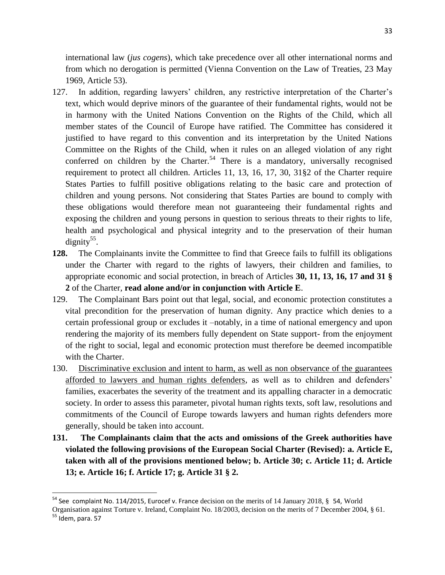international law (*jus cogens*), which take precedence over all other international norms and from which no derogation is permitted (Vienna Convention on the Law of Treaties, 23 May 1969, Article 53).

- 127. In addition, regarding lawyers' children, any restrictive interpretation of the Charter's text, which would deprive minors of the guarantee of their fundamental rights, would not be in harmony with the United Nations Convention on the Rights of the Child, which all member states of the Council of Europe have ratified. The Committee has considered it justified to have regard to this convention and its interpretation by the United Nations Committee on the Rights of the Child, when it rules on an alleged violation of any right conferred on children by the Charter.<sup>54</sup> There is a mandatory, universally recognised requirement to protect all children. Articles 11, 13, 16, 17, 30, 31§2 of the Charter require States Parties to fulfill positive obligations relating to the basic care and protection of children and young persons. Not considering that States Parties are bound to comply with these obligations would therefore mean not guaranteeing their fundamental rights and exposing the children and young persons in question to serious threats to their rights to life, health and psychological and physical integrity and to the preservation of their human dignity<sup>55</sup>.
- **128.** The Complainants invite the Committee to find that Greece fails to fulfill its obligations under the Charter with regard to the rights of lawyers, their children and families, to appropriate economic and social protection, in breach of Articles **30, 11, 13, 16, 17 and 31 § 2** of the Charter, **read alone and/or in conjunction with Article E**.
- 129. The Complainant Bars point out that legal, social, and economic protection constitutes a vital precondition for the preservation of human dignity. Any practice which denies to a certain professional group or excludes it –notably, in a time of national emergency and upon rendering the majority of its members fully dependent on State support- from the enjoyment of the right to social, legal and economic protection must therefore be deemed incompatible with the Charter.
- 130. Discriminative exclusion and intent to harm, as well as non observance of the guarantees afforded to lawyers and human rights defenders, as well as to children and defenders' families, exacerbates the severity of the treatment and its appalling character in a democratic society. In order to assess this parameter, pivotal human rights texts, soft law, resolutions and commitments of the Council of Europe towards lawyers and human rights defenders more generally, should be taken into account.
- **131. The Complainants claim that the acts and omissions of the Greek authorities have violated the following provisions of the European Social Charter (Revised): a. Article E, taken with all of the provisions mentioned below; b. Article 30; c. Article 11; d. Article 13; e. Article 16; f. Article 17; g. Article 31 § 2.**

 $\overline{\phantom{a}}$ 

<sup>&</sup>lt;sup>54</sup> See complaint No. 114/2015, Eurocef v. France decision on the merits of 14 January 2018, § 54, World

Organisation against Torture v. Ireland, Complaint No. 18/2003, decision on the merits of 7 December 2004, § 61.  $55$  Idem, para. 57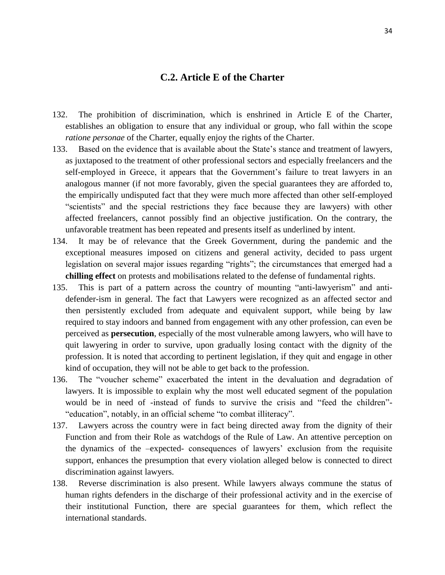# **C.2. Article E of the Charter**

- 132. The prohibition of discrimination, which is enshrined in Article E of the Charter, establishes an obligation to ensure that any individual or group, who fall within the scope *ratione personae* of the Charter, equally enjoy the rights of the Charter.
- 133. Based on the evidence that is available about the State's stance and treatment of lawyers, as juxtaposed to the treatment of other professional sectors and especially freelancers and the self-employed in Greece, it appears that the Government's failure to treat lawyers in an analogous manner (if not more favorably, given the special guarantees they are afforded to, the empirically undisputed fact that they were much more affected than other self-employed "scientists" and the special restrictions they face because they are lawyers) with other affected freelancers, cannot possibly find an objective justification. On the contrary, the unfavorable treatment has been repeated and presents itself as underlined by intent.
- 134. It may be of relevance that the Greek Government, during the pandemic and the exceptional measures imposed on citizens and general activity, decided to pass urgent legislation on several major issues regarding "rights"; the circumstances that emerged had a **chilling effect** on protests and mobilisations related to the defense of fundamental rights.
- 135. This is part of a pattern across the country of mounting "anti-lawyerism" and antidefender-ism in general. The fact that Lawyers were recognized as an affected sector and then persistently excluded from adequate and equivalent support, while being by law required to stay indoors and banned from engagement with any other profession, can even be perceived as **persecution**, especially of the most vulnerable among lawyers, who will have to quit lawyering in order to survive, upon gradually losing contact with the dignity of the profession. It is noted that according to pertinent legislation, if they quit and engage in other kind of occupation, they will not be able to get back to the profession.
- 136. The "voucher scheme" exacerbated the intent in the devaluation and degradation of lawyers. It is impossible to explain why the most well educated segment of the population would be in need of -instead of funds to survive the crisis and "feed the children"- "education", notably, in an official scheme "to combat illiteracy".
- 137. Lawyers across the country were in fact being directed away from the dignity of their Function and from their Role as watchdogs of the Rule of Law. An attentive perception on the dynamics of the –expected- consequences of lawyers' exclusion from the requisite support, enhances the presumption that every violation alleged below is connected to direct discrimination against lawyers.
- 138. Reverse discrimination is also present. While lawyers always commune the status of human rights defenders in the discharge of their professional activity and in the exercise of their institutional Function, there are special guarantees for them, which reflect the international standards.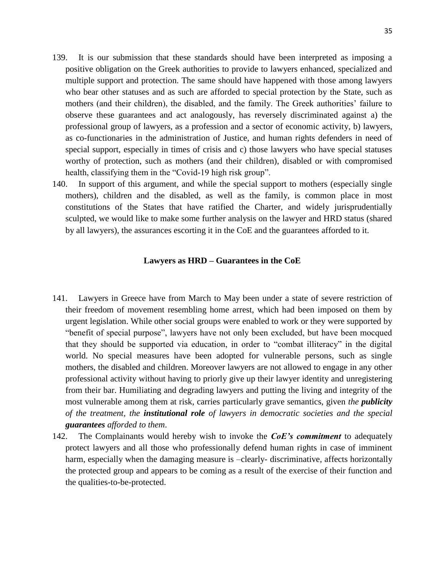- 139. It is our submission that these standards should have been interpreted as imposing a positive obligation on the Greek authorities to provide to lawyers enhanced, specialized and multiple support and protection. The same should have happened with those among lawyers who bear other statuses and as such are afforded to special protection by the State, such as mothers (and their children), the disabled, and the family. The Greek authorities' failure to observe these guarantees and act analogously, has reversely discriminated against a) the professional group of lawyers, as a profession and a sector of economic activity, b) lawyers, as co-functionaries in the administration of Justice, and human rights defenders in need of special support, especially in times of crisis and c) those lawyers who have special statuses worthy of protection, such as mothers (and their children), disabled or with compromised health, classifying them in the "Covid-19 high risk group".
- 140. In support of this argument, and while the special support to mothers (especially single mothers), children and the disabled, as well as the family, is common place in most constitutions of the States that have ratified the Charter, and widely jurisprudentially sculpted, we would like to make some further analysis on the lawyer and HRD status (shared by all lawyers), the assurances escorting it in the CoE and the guarantees afforded to it.

#### **Lawyers as HRD – Guarantees in the CoE**

- 141. Lawyers in Greece have from March to May been under a state of severe restriction of their freedom of movement resembling home arrest, which had been imposed on them by urgent legislation. While other social groups were enabled to work or they were supported by "benefit of special purpose", lawyers have not only been excluded, but have been mocqued that they should be supported via education, in order to "combat illiteracy" in the digital world. No special measures have been adopted for vulnerable persons, such as single mothers, the disabled and children. Moreover lawyers are not allowed to engage in any other professional activity without having to priorly give up their lawyer identity and unregistering from their bar. Humiliating and degrading lawyers and putting the living and integrity of the most vulnerable among them at risk, carries particularly grave semantics, given *the publicity of the treatment, the institutional role of lawyers in democratic societies and the special guarantees afforded to them*.
- 142. The Complainants would hereby wish to invoke the *CoE's commitment* to adequately protect lawyers and all those who professionally defend human rights in case of imminent harm, especially when the damaging measure is  $-\text{clearly-}$  discriminative, affects horizontally the protected group and appears to be coming as a result of the exercise of their function and the qualities-to-be-protected.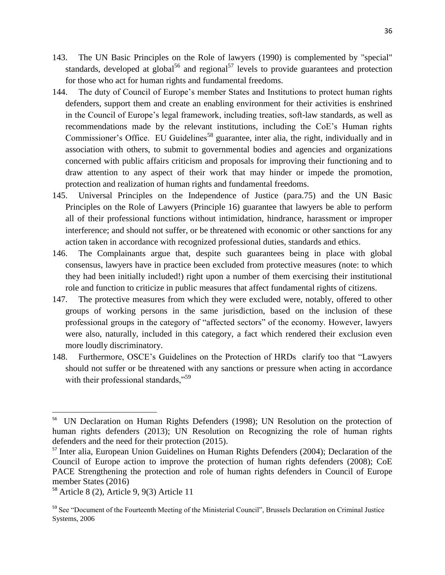- 143. The UN Basic Principles on the Role of lawyers (1990) is complemented by "special" standards, developed at global<sup>56</sup> and regional<sup>57</sup> levels to provide guarantees and protection for those who act for human rights and fundamental freedoms.
- 144. The duty of Council of Europe's member States and Institutions to protect human rights defenders, support them and create an enabling environment for their activities is enshrined in the Council of Europe's legal framework, including treaties, soft-law standards, as well as recommendations made by the relevant institutions, including the CoE's Human rights Commissioner's Office. EU Guidelines<sup>58</sup> guarantee, inter alia, the right, individually and in association with others, to submit to governmental bodies and agencies and organizations concerned with public affairs criticism and proposals for improving their functioning and to draw attention to any aspect of their work that may hinder or impede the promotion, protection and realization of human rights and fundamental freedoms.
- 145. Universal Principles on the Independence of Justice (para.75) and the UN Basic Principles on the Role of Lawyers (Principle 16) guarantee that lawyers be able to perform all of their professional functions without intimidation, hindrance, harassment or improper interference; and should not suffer, or be threatened with economic or other sanctions for any action taken in accordance with recognized professional duties, standards and ethics.
- 146. The Complainants argue that, despite such guarantees being in place with global consensus, lawyers have in practice been excluded from protective measures (note: to which they had been initially included!) right upon a number of them exercising their institutional role and function to criticize in public measures that affect fundamental rights of citizens.
- 147. The protective measures from which they were excluded were, notably, offered to other groups of working persons in the same jurisdiction, based on the inclusion of these professional groups in the category of "affected sectors" of the economy. However, lawyers were also, naturally, included in this category, a fact which rendered their exclusion even more loudly discriminatory.
- 148. Furthermore, OSCE's Guidelines on the Protection of HRDs clarify too that "Lawyers should not suffer or be threatened with any sanctions or pressure when acting in accordance with their professional standards,"<sup>59</sup>

 $\overline{a}$ 

<sup>&</sup>lt;sup>56</sup> UN Declaration on Human Rights Defenders (1998); UN Resolution on the protection of human rights defenders (2013); UN Resolution on Recognizing the role of human rights defenders and the need for their protection (2015).

<sup>&</sup>lt;sup>57</sup> Inter alia, European Union Guidelines on Human Rights Defenders (2004); Declaration of the Council of Europe action to improve the protection of human rights defenders (2008); CoE PACE Strengthening the protection and role of human rights defenders in Council of Europe member States (2016)

<sup>58</sup> Article 8 (2), Article 9, 9(3) Article 11

<sup>59</sup> See "Document of the Fourteenth Meeting of the Ministerial Council", Brussels Declaration on Criminal Justice Systems, 2006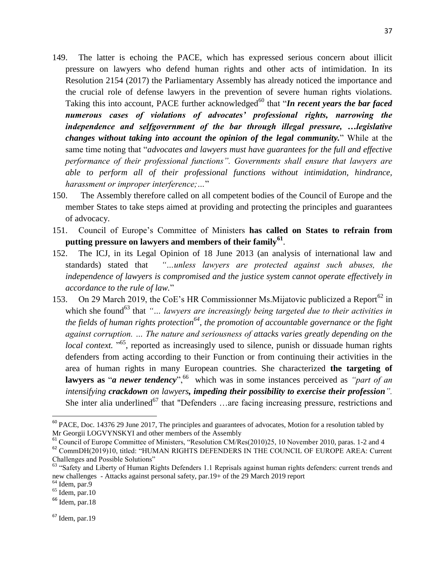- 149. The latter is echoing the PACE, which has expressed serious concern about illicit pressure on lawyers who defend human rights and other acts of intimidation. In its Resolution 2154 (2017) the Parliamentary Assembly has already noticed the importance and the crucial role of defense lawyers in the prevention of severe human rights violations. Taking this into account, PACE further acknowledged<sup>60</sup> that "*In recent years the bar faced numerous cases of violations of advocates' professional rights, narrowing the independence and selfgovernment of the bar through illegal pressure, ... legislative changes without taking into account the opinion of the legal community.*" While at the same time noting that "*advocates and lawyers must have guarantees for the full and effective performance of their professional functions". Governments shall ensure that lawyers are able to perform all of their professional functions without intimidation, hindrance, harassment or improper interference;…*"
- 150. The Assembly therefore called on all competent bodies of the Council of Europe and the member States to take steps aimed at providing and protecting the principles and guarantees of advocacy.
- 151. Council of Europe's Committee of Ministers **has called on States to refrain from putting pressure on lawyers and members of their family<sup>61</sup>** .
- 152. The ICJ, in its Legal Opinion of 18 June 2013 (an analysis of international law and standards) stated that *"…unless lawyers are protected against such abuses, the independence of lawyers is compromised and the justice system cannot operate effectively in accordance to the rule of law.*"
- 153. On 29 March 2019, the CoE's HR Commissionner Ms. Mijatovic publicized a Report<sup>62</sup> in which she found<sup>63</sup> that "... *lawyers are increasingly being targeted due to their activities in the fields of human rights protection<sup>64</sup>, the promotion of accountable governance or the fight against corruption. … The nature and seriousness of attacks varies greatly depending on the local context.* "<sup>65</sup>, reported as increasingly used to silence, punish or dissuade human rights defenders from acting according to their Function or from continuing their activities in the area of human rights in many European countries. She characterized **the targeting of lawyers as "***a newer tendency***"**, <sup>66</sup> which was in some instances perceived as "*part of an intensifying crackdown on lawyers, impeding their possibility to exercise their profession".* She inter alia underlined<sup>67</sup> that "Defenders …are facing increasing pressure, restrictions and

 $\overline{\phantom{a}}$ 

 $67$  Idem, par. 19

 $60$  PACE, Doc. 14376 29 June 2017, The principles and guarantees of advocates, Motion for a resolution tabled by Mr Georgii LOGVYNSKYI and other members of the Assembly

<sup>&</sup>lt;sup>61</sup> Council of Europe Committee of Ministers, "Resolution CM/Res(2010)25, 10 November 2010, paras. 1-2 and 4

<sup>&</sup>lt;sup>62</sup> CommDH(2019)10, titled: "HUMAN RIGHTS DEFENDERS IN THE COUNCIL OF EUROPE AREA: Current Challenges and Possible Solutions"

 $63$  "Safety and Liberty of Human Rights Defenders 1.1 Reprisals against human rights defenders: current trends and new challenges - Attacks against personal safety, par.19+ of the 29 March 2019 report

 $<sup>64</sup>$  Idem, par.9</sup>

 $65$  Idem, par. 10

 $66$  Idem, par.18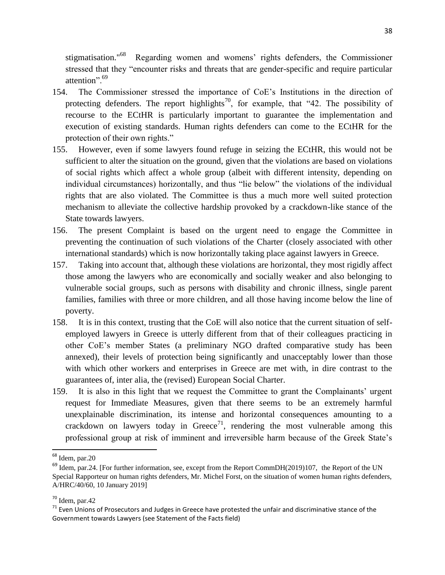stigmatisation."<sup>68</sup> Regarding women and womens' rights defenders, the Commissioner stressed that they "encounter risks and threats that are gender-specific and require particular attention".<sup>69</sup>

- 154. The Commissioner stressed the importance of CoE's Institutions in the direction of protecting defenders. The report highlights<sup>70</sup>, for example, that "42. The possibility of recourse to the ECtHR is particularly important to guarantee the implementation and execution of existing standards. Human rights defenders can come to the ECtHR for the protection of their own rights."
- 155. However, even if some lawyers found refuge in seizing the ECtHR, this would not be sufficient to alter the situation on the ground, given that the violations are based on violations of social rights which affect a whole group (albeit with different intensity, depending on individual circumstances) horizontally, and thus "lie below" the violations of the individual rights that are also violated. The Committee is thus a much more well suited protection mechanism to alleviate the collective hardship provoked by a crackdown-like stance of the State towards lawyers.
- 156. The present Complaint is based on the urgent need to engage the Committee in preventing the continuation of such violations of the Charter (closely associated with other international standards) which is now horizontally taking place against lawyers in Greece.
- 157. Taking into account that, although these violations are horizontal, they most rigidly affect those among the lawyers who are economically and socially weaker and also belonging to vulnerable social groups, such as persons with disability and chronic illness, single parent families, families with three or more children, and all those having income below the line of poverty.
- 158. It is in this context, trusting that the CoE will also notice that the current situation of selfemployed lawyers in Greece is utterly different from that of their colleagues practicing in other CoE's member States (a preliminary NGO drafted comparative study has been annexed), their levels of protection being significantly and unacceptably lower than those with which other workers and enterprises in Greece are met with, in dire contrast to the guarantees of, inter alia, the (revised) European Social Charter.
- 159. It is also in this light that we request the Committee to grant the Complainants' urgent request for Immediate Measures, given that there seems to be an extremely harmful unexplainable discrimination, its intense and horizontal consequences amounting to a crackdown on lawyers today in Greece<sup>71</sup>, rendering the most vulnerable among this professional group at risk of imminent and irreversible harm because of the Greek State's

 $\overline{a}$ 

<sup>&</sup>lt;sup>68</sup> Idem, par.20

<sup>&</sup>lt;sup>69</sup> Idem, par.24. [For further information, see, except from the Report CommDH(2019)107, the Report of the UN Special Rapporteur on human rights defenders, Mr. Michel Forst, on the situation of women human rights defenders, A/HRC/40/60, 10 January 2019]

<sup>70</sup> Idem, par.42

 $71$  Even Unions of Prosecutors and Judges in Greece have protested the unfair and discriminative stance of the Government towards Lawyers (see Statement of the Facts field)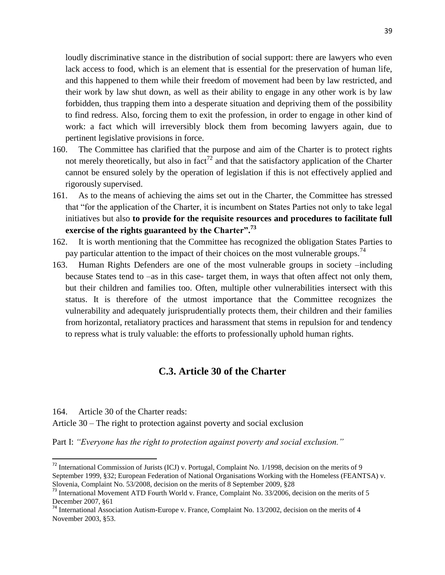loudly discriminative stance in the distribution of social support: there are lawyers who even lack access to food, which is an element that is essential for the preservation of human life, and this happened to them while their freedom of movement had been by law restricted, and their work by law shut down, as well as their ability to engage in any other work is by law forbidden, thus trapping them into a desperate situation and depriving them of the possibility to find redress. Also, forcing them to exit the profession, in order to engage in other kind of work: a fact which will irreversibly block them from becoming lawyers again, due to pertinent legislative provisions in force.

- 160. The Committee has clarified that the purpose and aim of the Charter is to protect rights not merely theoretically, but also in fact<sup>72</sup> and that the satisfactory application of the Charter cannot be ensured solely by the operation of legislation if this is not effectively applied and rigorously supervised.
- 161. As to the means of achieving the aims set out in the Charter, the Committee has stressed that "for the application of the Charter, it is incumbent on States Parties not only to take legal initiatives but also **to provide for the requisite resources and procedures to facilitate full exercise of the rights guaranteed by the Charter".<sup>73</sup>**
- 162. It is worth mentioning that the Committee has recognized the obligation States Parties to pay particular attention to the impact of their choices on the most vulnerable groups.<sup>74</sup>
- 163. Human Rights Defenders are one of the most vulnerable groups in society –including because States tend to –as in this case- target them, in ways that often affect not only them, but their children and families too. Often, multiple other vulnerabilities intersect with this status. It is therefore of the utmost importance that the Committee recognizes the vulnerability and adequately jurisprudentially protects them, their children and their families from horizontal, retaliatory practices and harassment that stems in repulsion for and tendency to repress what is truly valuable: the efforts to professionally uphold human rights.

# **C.3. Article 30 of the Charter**

164. Article 30 of the Charter reads:

 $\overline{a}$ 

Article 30 – The right to protection against poverty and social exclusion

Part I: *"Everyone has the right to protection against poverty and social exclusion."* 

<sup>72</sup> International Commission of Jurists (ICJ) v. Portugal, Complaint No. 1/1998, decision on the merits of 9 September 1999, §32; European Federation of National Organisations Working with the Homeless (FEANTSA) v. Slovenia, Complaint No. 53/2008, decision on the merits of 8 September 2009, §28

<sup>&</sup>lt;sup>73</sup> International Movement ATD Fourth World v. France, Complaint No. 33/2006, decision on the merits of 5 December 2007, §61

<sup>74</sup> International Association Autism-Europe v. France, Complaint No. 13/2002, decision on the merits of 4 November 2003, §53.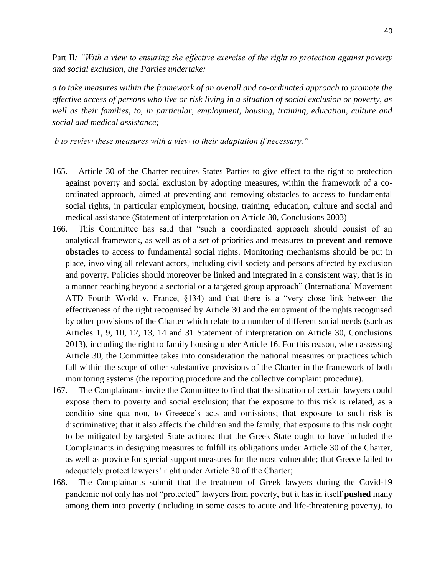Part II*: "With a view to ensuring the effective exercise of the right to protection against poverty and social exclusion, the Parties undertake:* 

*a to take measures within the framework of an overall and co-ordinated approach to promote the effective access of persons who live or risk living in a situation of social exclusion or poverty, as well as their families, to, in particular, employment, housing, training, education, culture and social and medical assistance;* 

*b to review these measures with a view to their adaptation if necessary."* 

- 165. Article 30 of the Charter requires States Parties to give effect to the right to protection against poverty and social exclusion by adopting measures, within the framework of a coordinated approach, aimed at preventing and removing obstacles to access to fundamental social rights, in particular employment, housing, training, education, culture and social and medical assistance (Statement of interpretation on Article 30, Conclusions 2003)
- 166. This Committee has said that "such a coordinated approach should consist of an analytical framework, as well as of a set of priorities and measures **to prevent and remove obstacles** to access to fundamental social rights. Monitoring mechanisms should be put in place, involving all relevant actors, including civil society and persons affected by exclusion and poverty. Policies should moreover be linked and integrated in a consistent way, that is in a manner reaching beyond a sectorial or a targeted group approach" (International Movement ATD Fourth World v. France, §134) and that there is a "very close link between the effectiveness of the right recognised by Article 30 and the enjoyment of the rights recognised by other provisions of the Charter which relate to a number of different social needs (such as Articles 1, 9, 10, 12, 13, 14 and 31 Statement of interpretation on Article 30, Conclusions 2013), including the right to family housing under Article 16. For this reason, when assessing Article 30, the Committee takes into consideration the national measures or practices which fall within the scope of other substantive provisions of the Charter in the framework of both monitoring systems (the reporting procedure and the collective complaint procedure).
- 167. The Complainants invite the Committee to find that the situation of certain lawyers could expose them to poverty and social exclusion; that the exposure to this risk is related, as a conditio sine qua non, to Greeece's acts and omissions; that exposure to such risk is discriminative; that it also affects the children and the family; that exposure to this risk ought to be mitigated by targeted State actions; that the Greek State ought to have included the Complainants in designing measures to fulfill its obligations under Article 30 of the Charter, as well as provide for special support measures for the most vulnerable; that Greece failed to adequately protect lawyers' right under Article 30 of the Charter;
- 168. The Complainants submit that the treatment of Greek lawyers during the Covid-19 pandemic not only has not "protected" lawyers from poverty, but it has in itself **pushed** many among them into poverty (including in some cases to acute and life-threatening poverty), to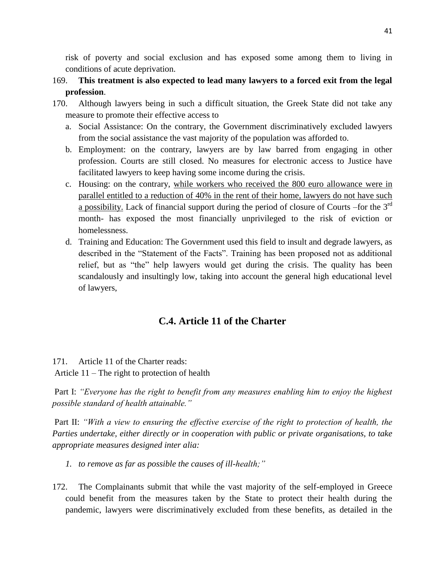risk of poverty and social exclusion and has exposed some among them to living in conditions of acute deprivation.

- 169. **This treatment is also expected to lead many lawyers to a forced exit from the legal profession**.
- 170. Although lawyers being in such a difficult situation, the Greek State did not take any measure to promote their effective access to
	- a. Social Assistance: On the contrary, the Government discriminatively excluded lawyers from the social assistance the vast majority of the population was afforded to.
	- b. Employment: on the contrary, lawyers are by law barred from engaging in other profession. Courts are still closed. No measures for electronic access to Justice have facilitated lawyers to keep having some income during the crisis.
	- c. Housing: on the contrary, while workers who received the 800 euro allowance were in parallel entitled to a reduction of 40% in the rent of their home, lawyers do not have such a possibility. Lack of financial support during the period of closure of Courts –for the 3<sup>rd</sup> month- has exposed the most financially unprivileged to the risk of eviction or homelessness.
	- d. Training and Education: The Government used this field to insult and degrade lawyers, as described in the "Statement of the Facts". Training has been proposed not as additional relief, but as "the" help lawyers would get during the crisis. The quality has been scandalously and insultingly low, taking into account the general high educational level of lawyers,

# **C.4. Article 11 of the Charter**

171. Article 11 of the Charter reads:

Article 11 – The right to protection of health

Part I: *"Everyone has the right to benefit from any measures enabling him to enjoy the highest possible standard of health attainable."* 

Part II: *"With a view to ensuring the effective exercise of the right to protection of health, the Parties undertake, either directly or in cooperation with public or private organisations, to take appropriate measures designed inter alia:* 

- *1. to remove as far as possible the causes of ill-health;"*
- 172. The Complainants submit that while the vast majority of the self-employed in Greece could benefit from the measures taken by the State to protect their health during the pandemic, lawyers were discriminatively excluded from these benefits, as detailed in the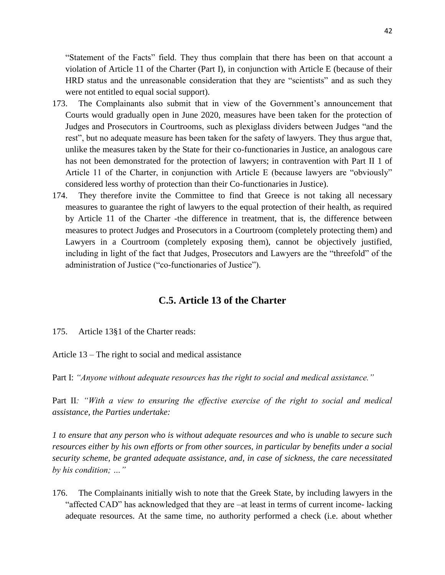"Statement of the Facts" field. They thus complain that there has been on that account a violation of Article 11 of the Charter (Part I), in conjunction with Article E (because of their HRD status and the unreasonable consideration that they are "scientists" and as such they were not entitled to equal social support).

- 173. The Complainants also submit that in view of the Government's announcement that Courts would gradually open in June 2020, measures have been taken for the protection of Judges and Prosecutors in Courtrooms, such as plexiglass dividers between Judges "and the rest", but no adequate measure has been taken for the safety of lawyers. They thus argue that, unlike the measures taken by the State for their co-functionaries in Justice, an analogous care has not been demonstrated for the protection of lawyers; in contravention with Part II 1 of Article 11 of the Charter, in conjunction with Article E (because lawyers are "obviously" considered less worthy of protection than their Co-functionaries in Justice).
- 174. They therefore invite the Committee to find that Greece is not taking all necessary measures to guarantee the right of lawyers to the equal protection of their health, as required by Article 11 of the Charter -the difference in treatment, that is, the difference between measures to protect Judges and Prosecutors in a Courtroom (completely protecting them) and Lawyers in a Courtroom (completely exposing them), cannot be objectively justified, including in light of the fact that Judges, Prosecutors and Lawyers are the "threefold" of the administration of Justice ("co-functionaries of Justice").

# **C.5. Article 13 of the Charter**

- 175. Article 13§1 of the Charter reads:
- Article 13 The right to social and medical assistance

Part I: *"Anyone without adequate resources has the right to social and medical assistance."* 

Part II*: "With a view to ensuring the effective exercise of the right to social and medical assistance, the Parties undertake:* 

*1 to ensure that any person who is without adequate resources and who is unable to secure such resources either by his own efforts or from other sources, in particular by benefits under a social security scheme, be granted adequate assistance, and, in case of sickness, the care necessitated by his condition; …"*

176. The Complainants initially wish to note that the Greek State, by including lawyers in the "affected CAD" has acknowledged that they are –at least in terms of current income- lacking adequate resources. At the same time, no authority performed a check (i.e. about whether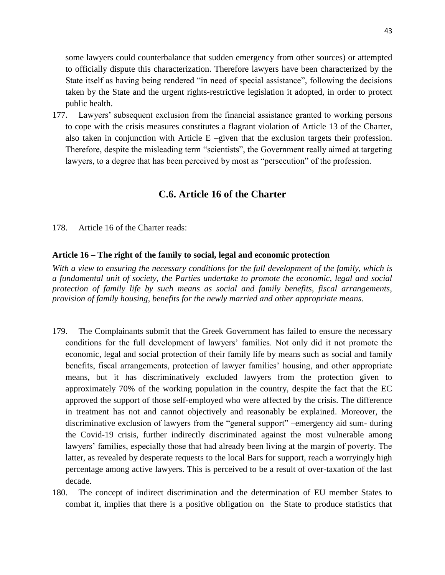some lawyers could counterbalance that sudden emergency from other sources) or attempted to officially dispute this characterization. Therefore lawyers have been characterized by the State itself as having being rendered "in need of special assistance", following the decisions taken by the State and the urgent rights-restrictive legislation it adopted, in order to protect public health.

177. Lawyers' subsequent exclusion from the financial assistance granted to working persons to cope with the crisis measures constitutes a flagrant violation of Article 13 of the Charter, also taken in conjunction with Article  $E$  –given that the exclusion targets their profession. Therefore, despite the misleading term "scientists", the Government really aimed at targeting lawyers, to a degree that has been perceived by most as "persecution" of the profession.

# **C.6. Article 16 of the Charter**

178. Article 16 of the Charter reads:

## **Article 16 – The right of the family to social, legal and economic protection**

*With a view to ensuring the necessary conditions for the full development of the family, which is a fundamental unit of society, the Parties undertake to promote the economic, legal and social protection of family life by such means as social and family benefits, fiscal arrangements, provision of family housing, benefits for the newly married and other appropriate means*.

- 179. The Complainants submit that the Greek Government has failed to ensure the necessary conditions for the full development of lawyers' families. Not only did it not promote the economic, legal and social protection of their family life by means such as social and family benefits, fiscal arrangements, protection of lawyer families' housing, and other appropriate means, but it has discriminatively excluded lawyers from the protection given to approximately 70% of the working population in the country, despite the fact that the EC approved the support of those self-employed who were affected by the crisis. The difference in treatment has not and cannot objectively and reasonably be explained. Moreover, the discriminative exclusion of lawyers from the "general support" –emergency aid sum- during the Covid-19 crisis, further indirectly discriminated against the most vulnerable among lawyers' families, especially those that had already been living at the margin of poverty. The latter, as revealed by desperate requests to the local Bars for support, reach a worryingly high percentage among active lawyers. This is perceived to be a result of over-taxation of the last decade.
- 180. The concept of indirect discrimination and the determination of EU member States to combat it, implies that there is a positive obligation on the State to produce statistics that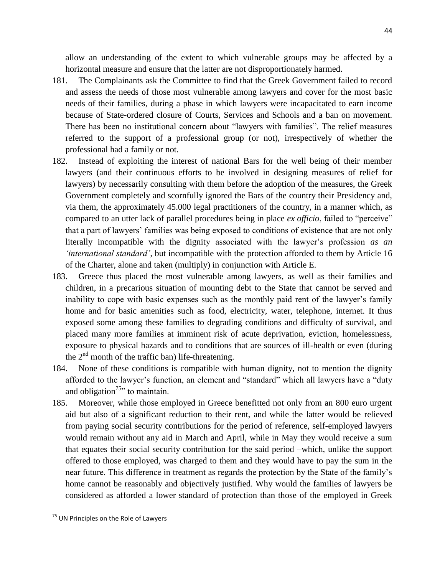allow an understanding of the extent to which vulnerable groups may be affected by a horizontal measure and ensure that the latter are not disproportionately harmed.

- 181. The Complainants ask the Committee to find that the Greek Government failed to record and assess the needs of those most vulnerable among lawyers and cover for the most basic needs of their families, during a phase in which lawyers were incapacitated to earn income because of State-ordered closure of Courts, Services and Schools and a ban on movement. There has been no institutional concern about "lawyers with families". The relief measures referred to the support of a professional group (or not), irrespectively of whether the professional had a family or not.
- 182. Instead of exploiting the interest of national Bars for the well being of their member lawyers (and their continuous efforts to be involved in designing measures of relief for lawyers) by necessarily consulting with them before the adoption of the measures, the Greek Government completely and scornfully ignored the Bars of the country their Presidency and, via them, the approximately 45.000 legal practitioners of the country, in a manner which, as compared to an utter lack of parallel procedures being in place *ex officio*, failed to "perceive" that a part of lawyers' families was being exposed to conditions of existence that are not only literally incompatible with the dignity associated with the lawyer's profession *as an 'international standard'*, but incompatible with the protection afforded to them by Article 16 of the Charter, alone and taken (multiply) in conjunction with Article E.
- 183. Greece thus placed the most vulnerable among lawyers, as well as their families and children, in a precarious situation of mounting debt to the State that cannot be served and inability to cope with basic expenses such as the monthly paid rent of the lawyer's family home and for basic amenities such as food, electricity, water, telephone, internet. It thus exposed some among these families to degrading conditions and difficulty of survival, and placed many more families at imminent risk of acute deprivation, eviction, homelessness, exposure to physical hazards and to conditions that are sources of ill-health or even (during the  $2<sup>nd</sup>$  month of the traffic ban) life-threatening.
- 184. None of these conditions is compatible with human dignity, not to mention the dignity afforded to the lawyer's function, an element and "standard" which all lawyers have a "duty and obligation<sup>75</sup>, to maintain.
- 185. Moreover, while those employed in Greece benefitted not only from an 800 euro urgent aid but also of a significant reduction to their rent, and while the latter would be relieved from paying social security contributions for the period of reference, self-employed lawyers would remain without any aid in March and April, while in May they would receive a sum that equates their social security contribution for the said period –which, unlike the support offered to those employed, was charged to them and they would have to pay the sum in the near future. This difference in treatment as regards the protection by the State of the family's home cannot be reasonably and objectively justified. Why would the families of lawyers be considered as afforded a lower standard of protection than those of the employed in Greek

 $\overline{\phantom{a}}$ 

<sup>&</sup>lt;sup>75</sup> UN Principles on the Role of Lawyers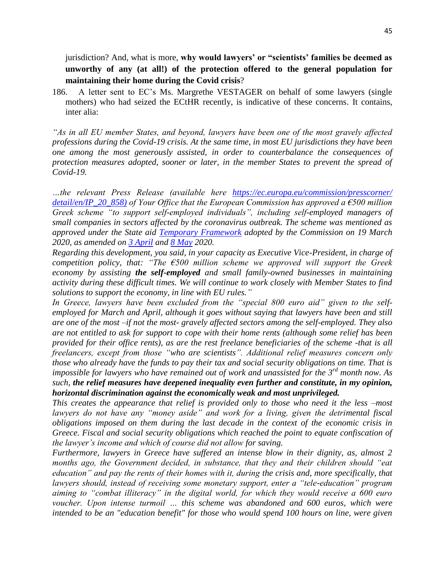jurisdiction? And, what is more, **why would lawyers' or "scientists' families be deemed as unworthy of any (at all!) of the protection offered to the general population for maintaining their home during the Covid crisis**?

186. A letter sent to EC's Ms. Margrethe VESTAGER on behalf of some lawyers (single mothers) who had seized the ECtHR recently, is indicative of these concerns. It contains, inter alia:

*"As in all EU member States, and beyond, lawyers have been one of the most gravely affected professions during the Covid-19 crisis. At the same time, in most EU jurisdictions they have been one among the most generously assisted, in order to counterbalance the consequences of protection measures adopted, sooner or later, in the member States to prevent the spread of Covid-19.*

*…the relevant Press Release (available here [https://ec.europa.eu/commission/presscorner/](https://ec.europa.eu/commission/presscorner/%20detail/en/IP_20_858))  [detail/en/IP\\_20\\_858\)](https://ec.europa.eu/commission/presscorner/%20detail/en/IP_20_858)) of Your Office that the European Commission has approved a €500 million Greek scheme "to support self-employed individuals", including self-employed managers of small companies in sectors affected by the coronavirus outbreak. The scheme was mentioned as approved under the State aid [Temporary Framework](https://eur-lex.europa.eu/legal-content/EN/TXT/?uri=OJ%3AJOC_2020_091_I_0001) adopted by the Commission on 19 March 2020, as amended on [3 April](https://eur-lex.europa.eu/legal-content/EN/TXT/?uri=uriserv:OJ.CI.2020.112.01.0001.01.ENG&toc=OJ:C:2020:112I:TOC) and [8 May](https://ec.europa.eu/competition/state_aid/what_is_new/sa_covid19_2nd_amendment_temporary_framework_en.pdf) 2020.* 

*Regarding this development, you said, in your capacity as Executive Vice-President, in charge of competition policy, that: "The €500 million scheme we approved will support the Greek economy by assisting the self-employed and small family-owned businesses in maintaining activity during these difficult times. We will continue to work closely with Member States to find solutions to support the economy, in line with EU rules."*

*In Greece, lawyers have been excluded from the "special 800 euro aid" given to the selfemployed for March and April, although it goes without saying that lawyers have been and still are one of the most –if not the most- gravely affected sectors among the self-employed. They also are not entitled to ask for support to cope with their home rents (although some relief has been provided for their office rents), as are the rest freelance beneficiaries of the scheme -that is all freelancers, except from those "who are scientists". Additional relief measures concern only those who already have the funds to pay their tax and social security obligations on time. That is impossible for lawyers who have remained out of work and unassisted for the 3rd month now. As such, the relief measures have deepened inequality even further and constitute, in my opinion, horizontal discrimination against the economically weak and most unprivileged.*

*This creates the appearance that relief is provided only to those who need it the less –most lawyers do not have any "money aside" and work for a living, given the detrimental fiscal obligations imposed on them during the last decade in the context of the economic crisis in Greece. Fiscal and social security obligations which reached the point to equate confiscation of the lawyer's income and which of course did not allow for saving.*

*Furthermore, lawyers in Greece have suffered an intense blow in their dignity, as, almost 2 months ago, the Government decided, in substance, that they and their children should "eat education" and pay the rents of their homes with it, during the crisis and, more specifically, that lawyers should, instead of receiving some monetary support, enter a "tele-education" program aiming to "combat illiteracy" in the digital world, for which they would receive a 600 euro voucher. Upon intense turmoil … this scheme was abandoned and 600 euros, which were intended to be an "education benefit" for those who would spend 100 hours on line, were given*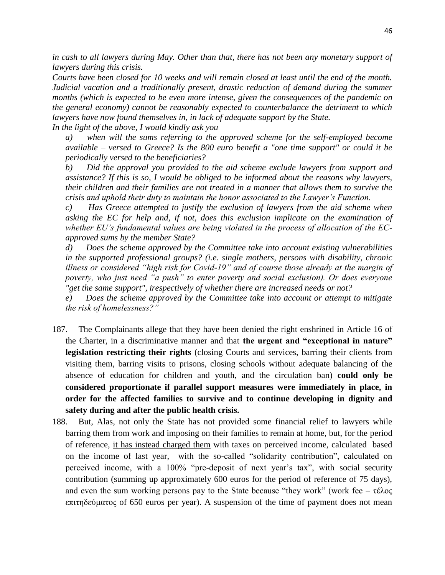*in cash to all lawyers during May. Other than that, there has not been any monetary support of lawyers during this crisis.*

*Courts have been closed for 10 weeks and will remain closed at least until the end of the month.*  Judicial vacation and a traditionally present, drastic reduction of demand during the summer *months (which is expected to be even more intense, given the consequences of the pandemic on the general economy) cannot be reasonably expected to counterbalance the detriment to which lawyers have now found themselves in, in lack of adequate support by the State.*

*In the light of the above, I would kindly ask you* 

*a*) when will the sums referring to the approved scheme for the self-employed become *available – versed to Greece? Is the 800 euro benefit a "one time support" or could it be periodically versed to the beneficiaries?*

*b) Did the approval you provided to the aid scheme exclude lawyers from support and assistance? If this is so, I would be obliged to be informed about the reasons why lawyers, their children and their families are not treated in a manner that allows them to survive the crisis and uphold their duty to maintain the honor associated to the Lawyer's Function.*

*c) Has Greece attempted to justify the exclusion of lawyers from the aid scheme when asking the EC for help and, if not, does this exclusion implicate on the examination of whether EU's fundamental values are being violated in the process of allocation of the ECapproved sums by the member State?*

*d) Does the scheme approved by the Committee take into account existing vulnerabilities in the supported professional groups? (i.e. single mothers, persons with disability, chronic illness or considered "high risk for Covid-19" and of course those already at the margin of poverty, who just need "a push" to enter poverty and social exclusion). Or does everyone "get the same support", irespectively of whether there are increased needs or not?*

*e) Does the scheme approved by the Committee take into account or attempt to mitigate the risk of homelessness?"*

- 187. The Complainants allege that they have been denied the right enshrined in Article 16 of the Charter, in a discriminative manner and that **the urgent and "exceptional in nature" legislation restricting their rights** (closing Courts and services, barring their clients from visiting them, barring visits to prisons, closing schools without adequate balancing of the absence of education for children and youth, and the circulation ban) **could only be considered proportionate if parallel support measures were immediately in place, in order for the affected families to survive and to continue developing in dignity and safety during and after the public health crisis.**
- 188. But, Alas, not only the State has not provided some financial relief to lawyers while barring them from work and imposing on their families to remain at home, but, for the period of reference, it has instead charged them with taxes on perceived income, calculated based on the income of last year, with the so-called "solidarity contribution", calculated on perceived income, with a 100% "pre-deposit of next year's tax", with social security contribution (summing up approximately 600 euros for the period of reference of 75 days), and even the sum working persons pay to the State because "they work" (work fee –  $\tau \in \lambda \circ \varsigma$ ) επιτηδεύματος of 650 euros per year). A suspension of the time of payment does not mean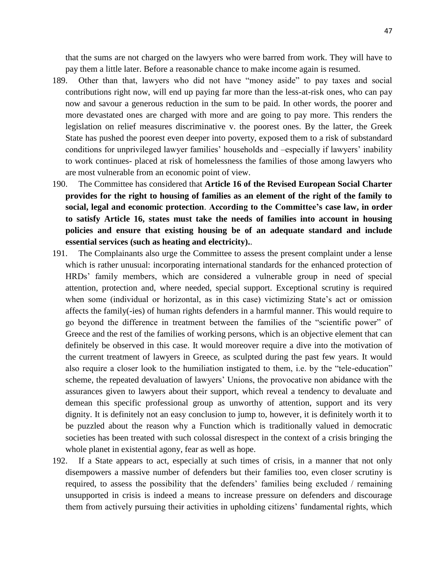that the sums are not charged on the lawyers who were barred from work. They will have to pay them a little later. Before a reasonable chance to make income again is resumed.

- 189. Other than that, lawyers who did not have "money aside" to pay taxes and social contributions right now, will end up paying far more than the less-at-risk ones, who can pay now and savour a generous reduction in the sum to be paid. In other words, the poorer and more devastated ones are charged with more and are going to pay more. This renders the legislation on relief measures discriminative v. the poorest ones. By the latter, the Greek State has pushed the poorest even deeper into poverty, exposed them to a risk of substandard conditions for unprivileged lawyer families' households and –especially if lawyers' inability to work continues- placed at risk of homelessness the families of those among lawyers who are most vulnerable from an economic point of view.
- 190. The Committee has considered that **Article 16 of the Revised European Social Charter provides for the right to housing of families as an element of the right of the family to social, legal and economic protection**. **According to the Committee's case law, in order to satisfy Article 16, states must take the needs of families into account in housing policies and ensure that existing housing be of an adequate standard and include essential services (such as heating and electricity).**.
- 191. The Complainants also urge the Committee to assess the present complaint under a lense which is rather unusual: incorporating international standards for the enhanced protection of HRDs' family members, which are considered a vulnerable group in need of special attention, protection and, where needed, special support. Exceptional scrutiny is required when some (individual or horizontal, as in this case) victimizing State's act or omission affects the family(-ies) of human rights defenders in a harmful manner. This would require to go beyond the difference in treatment between the families of the "scientific power" of Greece and the rest of the families of working persons, which is an objective element that can definitely be observed in this case. It would moreover require a dive into the motivation of the current treatment of lawyers in Greece, as sculpted during the past few years. It would also require a closer look to the humiliation instigated to them, i.e. by the "tele-education" scheme, the repeated devaluation of lawyers' Unions, the provocative non abidance with the assurances given to lawyers about their support, which reveal a tendency to devaluate and demean this specific professional group as unworthy of attention, support and its very dignity. It is definitely not an easy conclusion to jump to, however, it is definitely worth it to be puzzled about the reason why a Function which is traditionally valued in democratic societies has been treated with such colossal disrespect in the context of a crisis bringing the whole planet in existential agony, fear as well as hope.
- 192. If a State appears to act, especially at such times of crisis, in a manner that not only disempowers a massive number of defenders but their families too, even closer scrutiny is required, to assess the possibility that the defenders' families being excluded / remaining unsupported in crisis is indeed a means to increase pressure on defenders and discourage them from actively pursuing their activities in upholding citizens' fundamental rights, which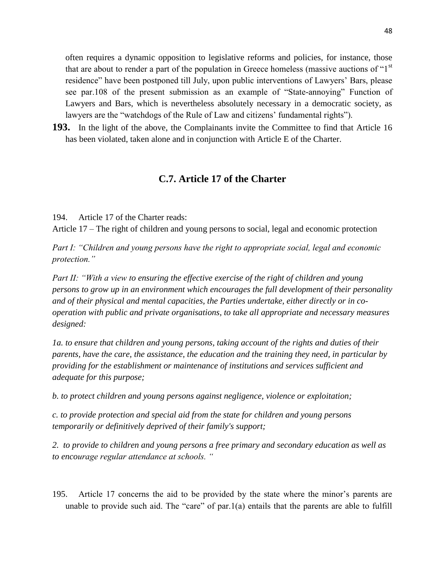often requires a dynamic opposition to legislative reforms and policies, for instance, those that are about to render a part of the population in Greece homeless (massive auctions of " $1<sup>st</sup>$ " residence" have been postponed till July, upon public interventions of Lawyers' Bars, please see par.108 of the present submission as an example of "State-annoying" Function of Lawyers and Bars, which is nevertheless absolutely necessary in a democratic society, as lawyers are the "watchdogs of the Rule of Law and citizens' fundamental rights").

**193.** In the light of the above, the Complainants invite the Committee to find that Article 16 has been violated, taken alone and in conjunction with Article E of the Charter.

# **C.7. Article 17 of the Charter**

194. Article 17 of the Charter reads:

Article 17 – The right of children and young persons to social, legal and economic protection

*Part I: "Children and young persons have the right to appropriate social, legal and economic protection."* 

*Part II: "With a view to ensuring the effective exercise of the right of children and young persons to grow up in an environment which encourages the full development of their personality and of their physical and mental capacities, the Parties undertake, either directly or in cooperation with public and private organisations, to take all appropriate and necessary measures designed:* 

*1a. to ensure that children and young persons, taking account of the rights and duties of their parents, have the care, the assistance, the education and the training they need, in particular by providing for the establishment or maintenance of institutions and services sufficient and adequate for this purpose;* 

*b. to protect children and young persons against negligence, violence or exploitation;* 

*c. to provide protection and special aid from the state for children and young persons temporarily or definitively deprived of their family's support;* 

*2. to provide to children and young persons a free primary and secondary education as well as to encourage regular attendance at schools. "* 

195. Article 17 concerns the aid to be provided by the state where the minor's parents are unable to provide such aid. The "care" of par.1(a) entails that the parents are able to fulfill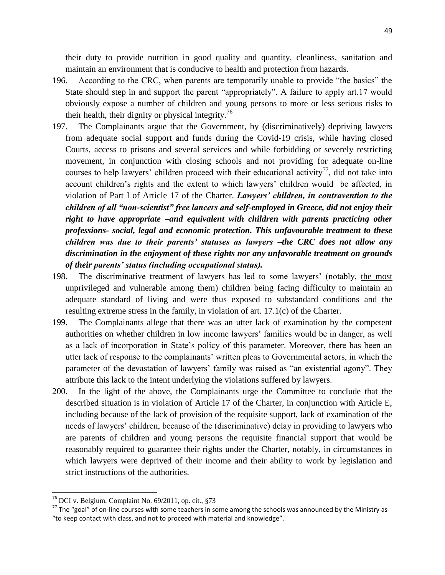their duty to provide nutrition in good quality and quantity, cleanliness, sanitation and maintain an environment that is conducive to health and protection from hazards.

- 196. According to the CRC, when parents are temporarily unable to provide "the basics" the State should step in and support the parent "appropriately". A failure to apply art.17 would obviously expose a number of children and young persons to more or less serious risks to their health, their dignity or physical integrity.<sup>76</sup>
- 197. The Complainants argue that the Government, by (discriminatively) depriving lawyers from adequate social support and funds during the Covid-19 crisis, while having closed Courts, access to prisons and several services and while forbidding or severely restricting movement, in conjunction with closing schools and not providing for adequate on-line courses to help lawyers' children proceed with their educational activity<sup>77</sup>, did not take into account children's rights and the extent to which lawyers' children would be affected, in violation of Part I of Article 17 of the Charter. *Lawyers' children, in contravention to the children of all "non-scientist" free lancers and self-employed in Greece, did not enjoy their right to have appropriate –and equivalent with children with parents practicing other professions- social, legal and economic protection. This unfavourable treatment to these children was due to their parents' statuses as lawyers –the CRC does not allow any discrimination in the enjoyment of these rights nor any unfavorable treatment on grounds of their parents' status (including occupational status).*
- 198. The discriminative treatment of lawyers has led to some lawyers' (notably, the most unprivileged and vulnerable among them) children being facing difficulty to maintain an adequate standard of living and were thus exposed to substandard conditions and the resulting extreme stress in the family, in violation of art. 17.1(c) of the Charter.
- 199. The Complainants allege that there was an utter lack of examination by the competent authorities on whether children in low income lawyers' families would be in danger, as well as a lack of incorporation in State's policy of this parameter. Moreover, there has been an utter lack of response to the complainants' written pleas to Governmental actors, in which the parameter of the devastation of lawyers' family was raised as "an existential agony". They attribute this lack to the intent underlying the violations suffered by lawyers.
- 200. In the light of the above, the Complainants urge the Committee to conclude that the described situation is in violation of Article 17 of the Charter, in conjunction with Article E, including because of the lack of provision of the requisite support, lack of examination of the needs of lawyers' children, because of the (discriminative) delay in providing to lawyers who are parents of children and young persons the requisite financial support that would be reasonably required to guarantee their rights under the Charter, notably, in circumstances in which lawyers were deprived of their income and their ability to work by legislation and strict instructions of the authorities.

 $\overline{\phantom{a}}$ 

<sup>76</sup> DCI v. Belgium, Complaint No. 69/2011, op. cit., §73

 $^{77}$  The "goal" of on-line courses with some teachers in some among the schools was announced by the Ministry as "to keep contact with class, and not to proceed with material and knowledge".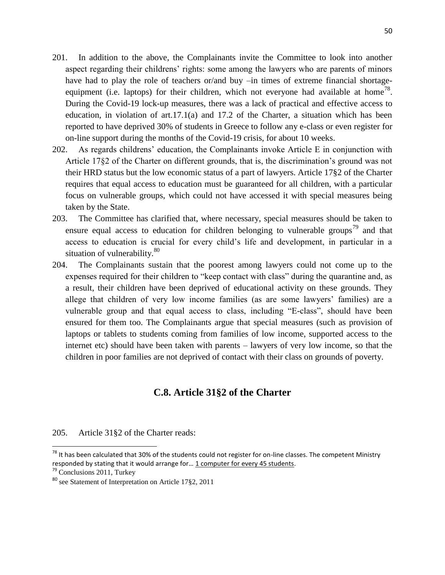- 201. In addition to the above, the Complainants invite the Committee to look into another aspect regarding their childrens' rights: some among the lawyers who are parents of minors have had to play the role of teachers or/and buy –in times of extreme financial shortageequipment (i.e. laptops) for their children, which not everyone had available at home<sup>78</sup>. During the Covid-19 lock-up measures, there was a lack of practical and effective access to education, in violation of  $art.17.1(a)$  and 17.2 of the Charter, a situation which has been reported to have deprived 30% of students in Greece to follow any e-class or even register for on-line support during the months of the Covid-19 crisis, for about 10 weeks.
- 202. As regards childrens' education, the Complainants invoke Article E in conjunction with Article 17§2 of the Charter on different grounds, that is, the discrimination's ground was not their HRD status but the low economic status of a part of lawyers. Article 17§2 of the Charter requires that equal access to education must be guaranteed for all children, with a particular focus on vulnerable groups, which could not have accessed it with special measures being taken by the State.
- 203. The Committee has clarified that, where necessary, special measures should be taken to ensure equal access to education for children belonging to vulnerable groups<sup>79</sup> and that access to education is crucial for every child's life and development, in particular in a situation of vulnerability. $80$
- 204. The Complainants sustain that the poorest among lawyers could not come up to the expenses required for their children to "keep contact with class" during the quarantine and, as a result, their children have been deprived of educational activity on these grounds. They allege that children of very low income families (as are some lawyers' families) are a vulnerable group and that equal access to class, including "E-class", should have been ensured for them too. The Complainants argue that special measures (such as provision of laptops or tablets to students coming from families of low income, supported access to the internet etc) should have been taken with parents – lawyers of very low income, so that the children in poor families are not deprived of contact with their class on grounds of poverty.

# **C.8. Article 31§2 of the Charter**

## 205. Article 31§2 of the Charter reads:

 $\overline{a}$ 

 $78$  It has been calculated that 30% of the students could not register for on-line classes. The competent Ministry responded by stating that it would arrange for... 1 computer for every 45 students.

<sup>&</sup>lt;sup>79</sup> Conclusions 2011, Turkey

<sup>80</sup> see Statement of Interpretation on Article 17§2, 2011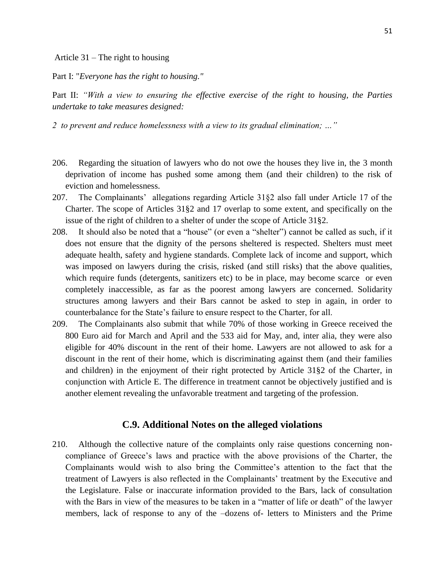Article 31 – The right to housing

Part I: "*Everyone has the right to housing."*

Part II: *"With a view to ensuring the effective exercise of the right to housing, the Parties undertake to take measures designed:* 

*2 to prevent and reduce homelessness with a view to its gradual elimination; …"*

- 206. Regarding the situation of lawyers who do not owe the houses they live in, the 3 month deprivation of income has pushed some among them (and their children) to the risk of eviction and homelessness.
- 207. The Complainants' allegations regarding Article 31§2 also fall under Article 17 of the Charter. The scope of Articles 31§2 and 17 overlap to some extent, and specifically on the issue of the right of children to a shelter of under the scope of Article 31§2.
- 208. It should also be noted that a "house" (or even a "shelter") cannot be called as such, if it does not ensure that the dignity of the persons sheltered is respected. Shelters must meet adequate health, safety and hygiene standards. Complete lack of income and support, which was imposed on lawyers during the crisis, risked (and still risks) that the above qualities, which require funds (detergents, sanitizers etc) to be in place, may become scarce or even completely inaccessible, as far as the poorest among lawyers are concerned. Solidarity structures among lawyers and their Bars cannot be asked to step in again, in order to counterbalance for the State's failure to ensure respect to the Charter, for all.
- 209. The Complainants also submit that while 70% of those working in Greece received the 800 Euro aid for March and April and the 533 aid for May, and, inter alia, they were also eligible for 40% discount in the rent of their home. Lawyers are not allowed to ask for a discount in the rent of their home, which is discriminating against them (and their families and children) in the enjoyment of their right protected by Article 31§2 of the Charter, in conjunction with Article E. The difference in treatment cannot be objectively justified and is another element revealing the unfavorable treatment and targeting of the profession.

## **C.9. Additional Notes on the alleged violations**

210. Although the collective nature of the complaints only raise questions concerning noncompliance of Greece's laws and practice with the above provisions of the Charter, the Complainants would wish to also bring the Committee's attention to the fact that the treatment of Lawyers is also reflected in the Complainants' treatment by the Executive and the Legislature. False or inaccurate information provided to the Bars, lack of consultation with the Bars in view of the measures to be taken in a "matter of life or death" of the lawyer members, lack of response to any of the –dozens of- letters to Ministers and the Prime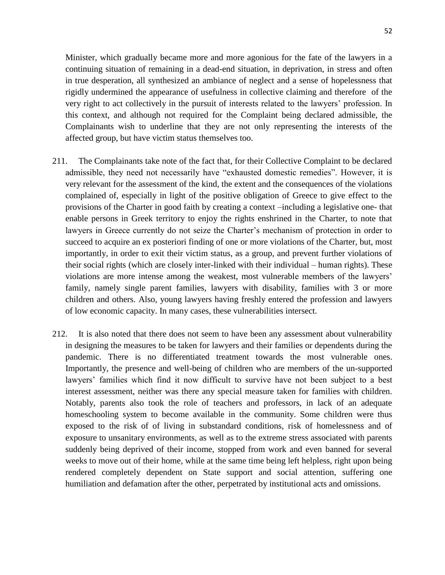Minister, which gradually became more and more agonious for the fate of the lawyers in a continuing situation of remaining in a dead-end situation, in deprivation, in stress and often in true desperation, all synthesized an ambiance of neglect and a sense of hopelessness that rigidly undermined the appearance of usefulness in collective claiming and therefore of the very right to act collectively in the pursuit of interests related to the lawyers' profession. In this context, and although not required for the Complaint being declared admissible, the Complainants wish to underline that they are not only representing the interests of the affected group, but have victim status themselves too.

- 211. The Complainants take note of the fact that, for their Collective Complaint to be declared admissible, they need not necessarily have "exhausted domestic remedies". However, it is very relevant for the assessment of the kind, the extent and the consequences of the violations complained of, especially in light of the positive obligation of Greece to give effect to the provisions of the Charter in good faith by creating a context –including a legislative one- that enable persons in Greek territory to enjoy the rights enshrined in the Charter, to note that lawyers in Greece currently do not seize the Charter's mechanism of protection in order to succeed to acquire an ex posteriori finding of one or more violations of the Charter, but, most importantly, in order to exit their victim status, as a group, and prevent further violations of their social rights (which are closely inter-linked with their individual – human rights). These violations are more intense among the weakest, most vulnerable members of the lawyers' family, namely single parent families, lawyers with disability, families with 3 or more children and others. Also, young lawyers having freshly entered the profession and lawyers of low economic capacity. In many cases, these vulnerabilities intersect.
- 212. It is also noted that there does not seem to have been any assessment about vulnerability in designing the measures to be taken for lawyers and their families or dependents during the pandemic. There is no differentiated treatment towards the most vulnerable ones. Importantly, the presence and well-being of children who are members of the un-supported lawyers' families which find it now difficult to survive have not been subject to a best interest assessment, neither was there any special measure taken for families with children. Notably, parents also took the role of teachers and professors, in lack of an adequate homeschooling system to become available in the community. Some children were thus exposed to the risk of of living in substandard conditions, risk of homelessness and of exposure to unsanitary environments, as well as to the extreme stress associated with parents suddenly being deprived of their income, stopped from work and even banned for several weeks to move out of their home, while at the same time being left helpless, right upon being rendered completely dependent on State support and social attention, suffering one humiliation and defamation after the other, perpetrated by institutional acts and omissions.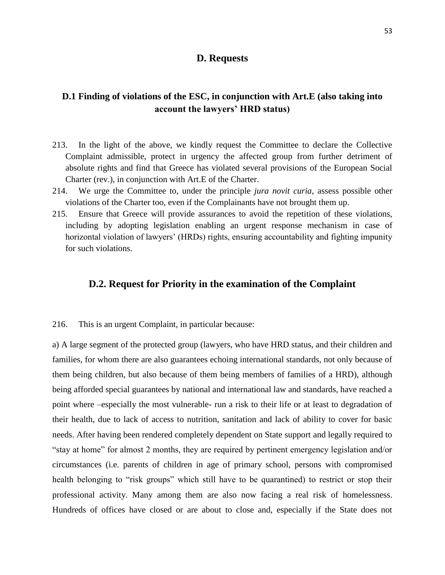## **D. Requests**

# **D.1 Finding of violations of the ESC, in conjunction with Art.E (also taking into account the lawyers' HRD status)**

- 213. In the light of the above, we kindly request the Committee to declare the Collective Complaint admissible, protect in urgency the affected group from further detriment of absolute rights and find that Greece has violated several provisions of the European Social Charter (rev.), in conjunction with Art.E of the Charter.
- 214. We urge the Committee to, under the principle *jura novit curia*, assess possible other violations of the Charter too, even if the Complainants have not brought them up.
- 215. Ensure that Greece will provide assurances to avoid the repetition of these violations, including by adopting legislation enabling an urgent response mechanism in case of horizontal violation of lawyers' (HRDs) rights, ensuring accountability and fighting impunity for such violations.

## **D.2. Request for Priority in the examination of the Complaint**

## 216. This is an urgent Complaint, in particular because:

a) A large segment of the protected group (lawyers, who have HRD status, and their children and families, for whom there are also guarantees echoing international standards, not only because of them being children, but also because of them being members of families of a HRD), although being afforded special guarantees by national and international law and standards, have reached a point where –especially the most vulnerable- run a risk to their life or at least to degradation of their health, due to lack of access to nutrition, sanitation and lack of ability to cover for basic needs. After having been rendered completely dependent on State support and legally required to "stay at home" for almost 2 months, they are required by pertinent emergency legislation and/or circumstances (i.e. parents of children in age of primary school, persons with compromised health belonging to "risk groups" which still have to be quarantined) to restrict or stop their professional activity. Many among them are also now facing a real risk of homelessness. Hundreds of offices have closed or are about to close and, especially if the State does not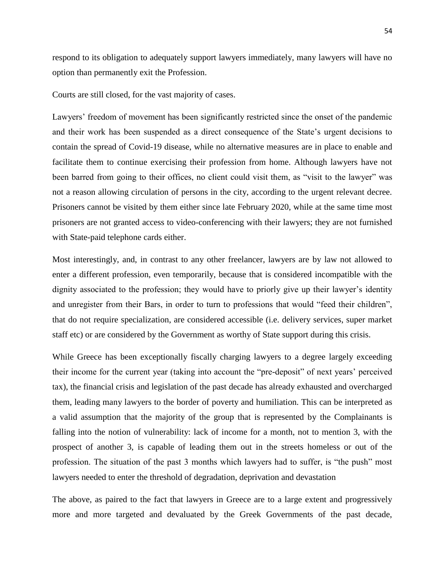respond to its obligation to adequately support lawyers immediately, many lawyers will have no option than permanently exit the Profession.

Courts are still closed, for the vast majority of cases.

Lawyers' freedom of movement has been significantly restricted since the onset of the pandemic and their work has been suspended as a direct consequence of the State's urgent decisions to contain the spread of Covid-19 disease, while no alternative measures are in place to enable and facilitate them to continue exercising their profession from home. Although lawyers have not been barred from going to their offices, no client could visit them, as "visit to the lawyer" was not a reason allowing circulation of persons in the city, according to the urgent relevant decree. Prisoners cannot be visited by them either since late February 2020, while at the same time most prisoners are not granted access to video-conferencing with their lawyers; they are not furnished with State-paid telephone cards either.

Most interestingly, and, in contrast to any other freelancer, lawyers are by law not allowed to enter a different profession, even temporarily, because that is considered incompatible with the dignity associated to the profession; they would have to priorly give up their lawyer's identity and unregister from their Bars, in order to turn to professions that would "feed their children", that do not require specialization, are considered accessible (i.e. delivery services, super market staff etc) or are considered by the Government as worthy of State support during this crisis.

While Greece has been exceptionally fiscally charging lawyers to a degree largely exceeding their income for the current year (taking into account the "pre-deposit" of next years' perceived tax), the financial crisis and legislation of the past decade has already exhausted and overcharged them, leading many lawyers to the border of poverty and humiliation. This can be interpreted as a valid assumption that the majority of the group that is represented by the Complainants is falling into the notion of vulnerability: lack of income for a month, not to mention 3, with the prospect of another 3, is capable of leading them out in the streets homeless or out of the profession. The situation of the past 3 months which lawyers had to suffer, is "the push" most lawyers needed to enter the threshold of degradation, deprivation and devastation

The above, as paired to the fact that lawyers in Greece are to a large extent and progressively more and more targeted and devaluated by the Greek Governments of the past decade,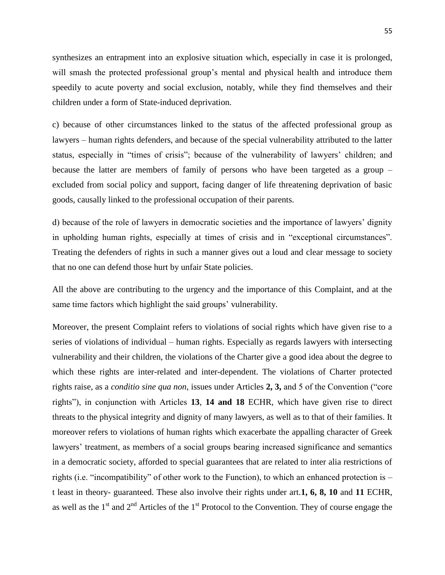synthesizes an entrapment into an explosive situation which, especially in case it is prolonged, will smash the protected professional group's mental and physical health and introduce them speedily to acute poverty and social exclusion, notably, while they find themselves and their children under a form of State-induced deprivation.

c) because of other circumstances linked to the status of the affected professional group as lawyers – human rights defenders, and because of the special vulnerability attributed to the latter status, especially in "times of crisis"; because of the vulnerability of lawyers' children; and because the latter are members of family of persons who have been targeted as a group – excluded from social policy and support, facing danger of life threatening deprivation of basic goods, causally linked to the professional occupation of their parents.

d) because of the role of lawyers in democratic societies and the importance of lawyers' dignity in upholding human rights, especially at times of crisis and in "exceptional circumstances". Treating the defenders of rights in such a manner gives out a loud and clear message to society that no one can defend those hurt by unfair State policies.

All the above are contributing to the urgency and the importance of this Complaint, and at the same time factors which highlight the said groups' vulnerability.

Moreover, the present Complaint refers to violations of social rights which have given rise to a series of violations of individual – human rights. Especially as regards lawyers with intersecting vulnerability and their children, the violations of the Charter give a good idea about the degree to which these rights are inter-related and inter-dependent. The violations of Charter protected rights raise, as a *conditio sine qua non*, issues under Articles **2, 3,** and 5 of the Convention ("core rights"), in conjunction with Articles **13**, **14 and 18** ECHR, which have given rise to direct threats to the physical integrity and dignity of many lawyers, as well as to that of their families. It moreover refers to violations of human rights which exacerbate the appalling character of Greek lawyers' treatment, as members of a social groups bearing increased significance and semantics in a democratic society, afforded to special guarantees that are related to inter alia restrictions of rights (i.e. "incompatibility" of other work to the Function), to which an enhanced protection is – t least in theory- guaranteed. These also involve their rights under art.**1, 6, 8, 10** and **11** ECHR, as well as the  $1<sup>st</sup>$  and  $2<sup>nd</sup>$  Articles of the  $1<sup>st</sup>$  Protocol to the Convention. They of course engage the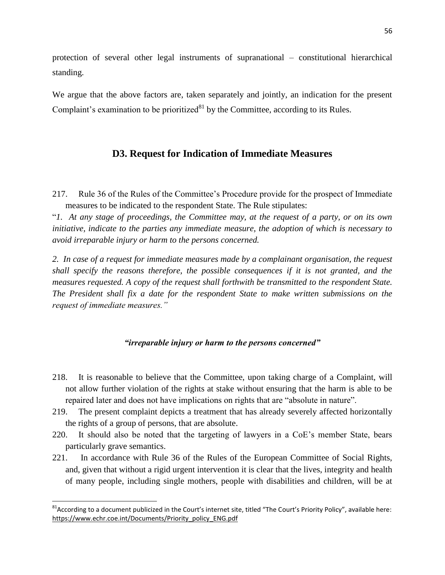protection of several other legal instruments of supranational – constitutional hierarchical standing.

We argue that the above factors are, taken separately and jointly, an indication for the present Complaint's examination to be prioritized $81$  by the Committee, according to its Rules.

# **D3. Request for Indication of Immediate Measures**

217. Rule 36 of the Rules of the Committee's Procedure provide for the prospect of Immediate measures to be indicated to the respondent State. The Rule stipulates:

"*1. At any stage of proceedings, the Committee may, at the request of a party, or on its own initiative, indicate to the parties any immediate measure, the adoption of which is necessary to avoid irreparable injury or harm to the persons concerned.* 

*2. In case of a request for immediate measures made by a complainant organisation, the request shall specify the reasons therefore, the possible consequences if it is not granted, and the measures requested. A copy of the request shall forthwith be transmitted to the respondent State. The President shall fix a date for the respondent State to make written submissions on the request of immediate measures."*

## *"irreparable injury or harm to the persons concerned"*

- 218. It is reasonable to believe that the Committee, upon taking charge of a Complaint, will not allow further violation of the rights at stake without ensuring that the harm is able to be repaired later and does not have implications on rights that are "absolute in nature".
- 219. The present complaint depicts a treatment that has already severely affected horizontally the rights of a group of persons, that are absolute.
- 220. It should also be noted that the targeting of lawyers in a CoE's member State, bears particularly grave semantics.
- 221. In accordance with Rule 36 of the Rules of the European Committee of Social Rights, and, given that without a rigid urgent intervention it is clear that the lives, integrity and health of many people, including single mothers, people with disabilities and children, will be at

l

<sup>&</sup>lt;sup>81</sup> According to a document publicized in the Court's internet site, titled "The Court's Priority Policy", available here: [https://www.echr.coe.int/Documents/Priority\\_policy\\_ENG.pdf](https://www.echr.coe.int/Documents/Priority_policy_ENG.pdf)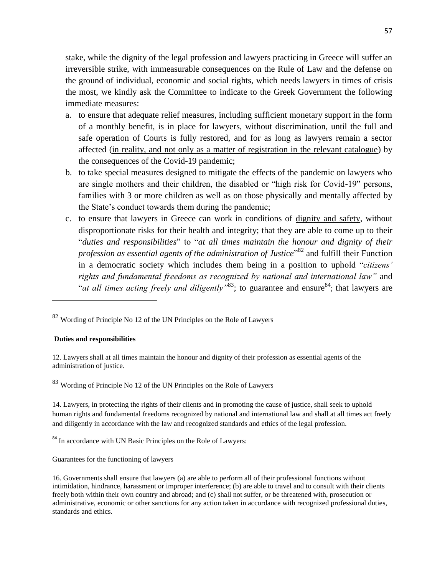stake, while the dignity of the legal profession and lawyers practicing in Greece will suffer an irreversible strike, with immeasurable consequences on the Rule of Law and the defense on the ground of individual, economic and social rights, which needs lawyers in times of crisis the most, we kindly ask the Committee to indicate to the Greek Government the following immediate measures:

- a. to ensure that adequate relief measures, including sufficient monetary support in the form of a monthly benefit, is in place for lawyers, without discrimination, until the full and safe operation of Courts is fully restored, and for as long as lawyers remain a sector affected (in reality, and not only as a matter of registration in the relevant catalogue) by the consequences of the Covid-19 pandemic;
- b. to take special measures designed to mitigate the effects of the pandemic on lawyers who are single mothers and their children, the disabled or "high risk for Covid-19" persons, families with 3 or more children as well as on those physically and mentally affected by the State's conduct towards them during the pandemic;
- c. to ensure that lawyers in Greece can work in conditions of dignity and safety, without disproportionate risks for their health and integrity; that they are able to come up to their "*duties and responsibilities*" to "*at all times maintain the honour and dignity of their profession as essential agents of the administration of Justice*" <sup>82</sup> and fulfill their Function in a democratic society which includes them being in a position to uphold "*citizens' rights and fundamental freedoms as recognized by national and international law"* and "*at all times acting freely and diligently* "<sup>83</sup>; to guarantee and ensure<sup>84</sup>; that lawyers are

#### **Duties and responsibilities**

 $\overline{\phantom{a}}$ 

12. Lawyers shall at all times maintain the honour and dignity of their profession as essential agents of the administration of justice.

<sup>83</sup> Wording of Principle No 12 of the UN Principles on the Role of Lawyers

14. Lawyers, in protecting the rights of their clients and in promoting the cause of justice, shall seek to uphold human rights and fundamental freedoms recognized by national and international law and shall at all times act freely and diligently in accordance with the law and recognized standards and ethics of the legal profession.

<sup>84</sup> In accordance with UN Basic Principles on the Role of Lawyers:

Guarantees for the functioning of lawyers

16. Governments shall ensure that lawyers (a) are able to perform all of their professional functions without intimidation, hindrance, harassment or improper interference; (b) are able to travel and to consult with their clients freely both within their own country and abroad; and (c) shall not suffer, or be threatened with, prosecution or administrative, economic or other sanctions for any action taken in accordance with recognized professional duties, standards and ethics.

 $82$  Wording of Principle No 12 of the UN Principles on the Role of Lawyers